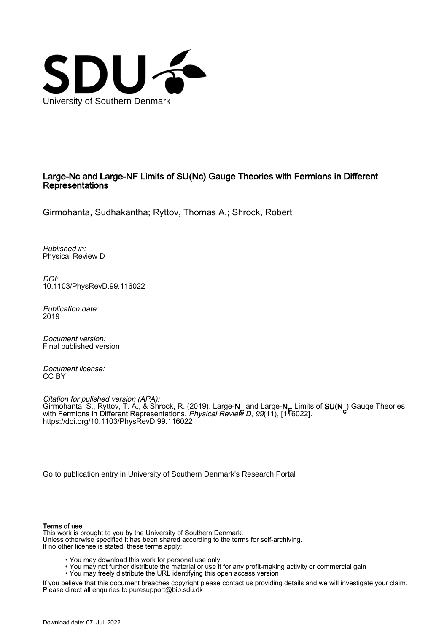

# Large-Nc and Large-NF Limits of SU(Nc) Gauge Theories with Fermions in Different Representations

Girmohanta, Sudhakantha; Ryttov, Thomas A.; Shrock, Robert

Published in: Physical Review D

DOI: [10.1103/PhysRevD.99.116022](https://doi.org/10.1103/PhysRevD.99.116022)

Publication date: 2019

Document version: Final published version

Document license: CC BY

Citation for pulished version (APA): Girmohanta, S., Ryttov, T. A., & Shrock, R. (2019). Large-**N**\_and Large-**N\_** Limits of **SU(N<sub>c</sub>)** Gauge Theories<br>with Fermions in Different Representations. *Physical Review D. 99*(11). [1¶6022] with Fermions in Different Representations. *Physical Review D, 99*(11), [1**'**16022]. <https://doi.org/10.1103/PhysRevD.99.116022>

[Go to publication entry in University of Southern Denmark's Research Portal](https://portal.findresearcher.sdu.dk/en/publications/8ac639e2-f3de-4f11-a504-d1e8752845ca)

#### Terms of use

This work is brought to you by the University of Southern Denmark. Unless otherwise specified it has been shared according to the terms for self-archiving. If no other license is stated, these terms apply:

- You may download this work for personal use only.
- You may not further distribute the material or use it for any profit-making activity or commercial gain
- You may freely distribute the URL identifying this open access version

If you believe that this document breaches copyright please contact us providing details and we will investigate your claim. Please direct all enquiries to puresupport@bib.sdu.dk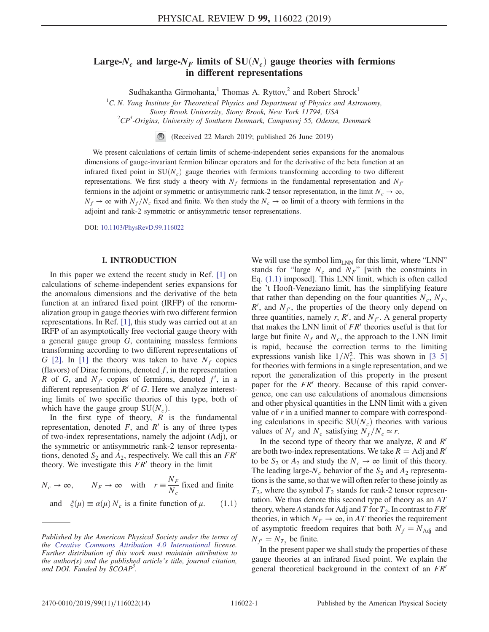# Large-N<sub>c</sub> and large-N<sub>F</sub> limits of  $SU(N_c)$  gauge theories with fermions in different representations

Sudhakantha Girmohanta,<sup>1</sup> Thomas A. Ryttov,<sup>2</sup> and Robert Shrock<sup>1</sup>

<sup>1</sup>C. N. Yang Institute for Theoretical Physics and Department of Physics and Astronomy,

Stony Brook University, Stony Brook, New York 11794, USA <sup>2</sup>

CP<sup>3</sup>-Origins, University of Southern Denmark, Campusvej 55, Odense, Denmark

(Received 22 March 2019; published 26 June 2019)

We present calculations of certain limits of scheme-independent series expansions for the anomalous dimensions of gauge-invariant fermion bilinear operators and for the derivative of the beta function at an infrared fixed point in  $SU(N_c)$  gauge theories with fermions transforming according to two different representations. We first study a theory with  $N_f$  fermions in the fundamental representation and  $N_f$ fermions in the adjoint or symmetric or antisymmetric rank-2 tensor representation, in the limit  $N_c \to \infty$ ,  $N_f \to \infty$  with  $N_f/N_c$  fixed and finite. We then study the  $N_c \to \infty$  limit of a theory with fermions in the adjoint and rank-2 symmetric or antisymmetric tensor representations.

DOI: [10.1103/PhysRevD.99.116022](https://doi.org/10.1103/PhysRevD.99.116022)

#### I. INTRODUCTION

In this paper we extend the recent study in Ref. [\[1\]](#page-13-0) on calculations of scheme-independent series expansions for the anomalous dimensions and the derivative of the beta function at an infrared fixed point (IRFP) of the renormalization group in gauge theories with two different fermion representations. In Ref. [\[1\]](#page-13-0), this study was carried out at an IRFP of an asymptotically free vectorial gauge theory with a general gauge group G, containing massless fermions transforming according to two different representations of G [\[2\]](#page-13-1). In [\[1\]](#page-13-0) the theory was taken to have  $N_f$  copies (flavors) of Dirac fermions, denoted  $f$ , in the representation R of G, and  $N_{f'}$  copies of fermions, denoted  $f'$ , in a different representation  $R'$  of G. Here we analyze interesting limits of two specific theories of this type, both of which have the gauge group  $SU(N_c)$ .

In the first type of theory,  $R$  is the fundamental representation, denoted F, and  $R'$  is any of three types of two-index representations, namely the adjoint (Adj), or the symmetric or antisymmetric rank-2 tensor representations, denoted  $S_2$  and  $A_2$ , respectively. We call this an  $FR<sup>′</sup>$ theory. We investigate this  $FR<sup>′</sup>$  theory in the limit

<span id="page-1-0"></span>
$$
N_c \to \infty
$$
,  $N_F \to \infty$  with  $r \equiv \frac{N_F}{N_c}$  fixed and finite  
and  $\xi(\mu) \equiv \alpha(\mu) N_c$  is a finite function of  $\mu$ . (1.1)

We will use the symbol  $\lim_{LNN}$  for this limit, where "LNN" stands for "large  $N_c$  and  $N_F$ " [with the constraints in Eq. [\(1.1\)](#page-1-0) imposed]. This LNN limit, which is often called the 't Hooft-Veneziano limit, has the simplifying feature that rather than depending on the four quantities  $N_c$ ,  $N_F$ ,  $R'$ , and  $N_{f'}$ , the properties of the theory only depend on three quantities, namely r, R', and  $N_f$ . A general property that makes the LNN limit of  $FR<sup>′</sup>$  theories useful is that for large but finite  $N_f$  and  $N_c$ , the approach to the LNN limit is rapid, because the correction terms to the limiting expressions vanish like  $1/N_c^2$ . This was shown in [3–[5\]](#page-13-2) for theories with fermions in a single representation, and we report the generalization of this property in the present paper for the  $FR<sup>′</sup>$  theory. Because of this rapid convergence, one can use calculations of anomalous dimensions and other physical quantities in the LNN limit with a given value of  $r$  in a unified manner to compare with corresponding calculations in specific  $SU(N_c)$  theories with various values of  $N_f$  and  $N_c$  satisfying  $N_f/N_c \simeq r$ .

In the second type of theory that we analyze,  $R$  and  $R'$ are both two-index representations. We take  $R = \text{Adj}$  and  $R'$ to be  $S_2$  or  $A_2$  and study the  $N_c \rightarrow \infty$  limit of this theory. The leading large- $N_c$  behavior of the  $S_2$  and  $A_2$  representations is the same, so that we will often refer to these jointly as  $T_2$ , where the symbol  $T_2$  stands for rank-2 tensor representation. We thus denote this second type of theory as an AT theory, where A stands for Adj and T for  $T_2$ . In contrast to  $FR<sup>2</sup>$ theories, in which  $N_F \to \infty$ , in AT theories the requirement of asymptotic freedom requires that both  $N_f = N_{\text{Adj}}$  and  $N_{f'} = N_{T_2}$  be finite.

In the present paper we shall study the properties of these gauge theories at an infrared fixed point. We explain the general theoretical background in the context of an  $FR<sup>′</sup>$ 

Published by the American Physical Society under the terms of the [Creative Commons Attribution 4.0 International](https://creativecommons.org/licenses/by/4.0/) license. Further distribution of this work must maintain attribution to the author(s) and the published article's title, journal citation, and DOI. Funded by SCOAP<sup>3</sup>.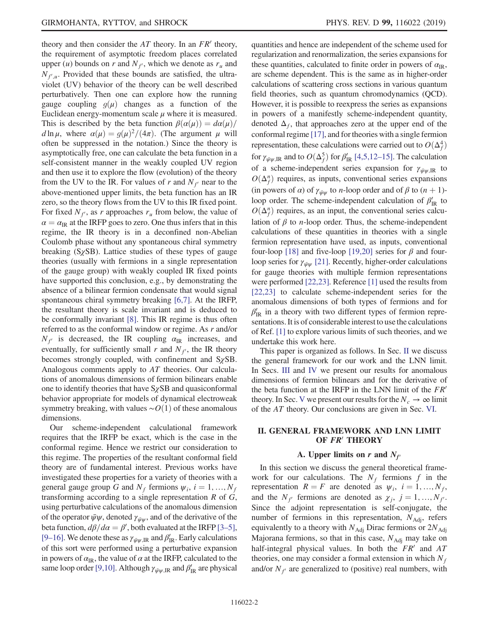theory and then consider the  $AT$  theory. In an  $FR'$  theory, the requirement of asymptotic freedom places correlated upper (*u*) bounds on *r* and  $N_f$ , which we denote as  $r_u$  and  $N_{f',u}$ . Provided that these bounds are satisfied, the ultraviolet (UV) behavior of the theory can be well described perturbatively. Then one can explore how the running gauge coupling  $g(\mu)$  changes as a function of the Euclidean energy-momentum scale  $\mu$  where it is measured. This is described by the beta function  $\beta(\alpha(\mu))=d\alpha(\mu)/$ d ln  $\mu$ , where  $\alpha(\mu) = g(\mu)^2/(4\pi)$ . (The argument  $\mu$  will often be suppressed in the notation.) Since the theory is asymptotically free, one can calculate the beta function in a self-consistent manner in the weakly coupled UV region and then use it to explore the flow (evolution) of the theory from the UV to the IR. For values of r and  $N_f$  near to the above-mentioned upper limits, the beta function has an IR zero, so the theory flows from the UV to this IR fixed point. For fixed  $N_f$ , as r approaches  $r_u$  from below, the value of  $\alpha = \alpha_{\text{IR}}$  at the IRFP goes to zero. One thus infers that in this regime, the IR theory is in a deconfined non-Abelian Coulomb phase without any spontaneous chiral symmetry breaking  $(S \chi SB)$ . Lattice studies of these types of gauge theories (usually with fermions in a single representation of the gauge group) with weakly coupled IR fixed points have supported this conclusion, e.g., by demonstrating the absence of a bilinear fermion condensate that would signal spontaneous chiral symmetry breaking [\[6,7\].](#page-14-0) At the IRFP, the resultant theory is scale invariant and is deduced to be conformally invariant [\[8\].](#page-14-1) This IR regime is thus often referred to as the conformal window or regime. As r and/or  $N_f$  is decreased, the IR coupling  $\alpha_{\text{IR}}$  increases, and eventually, for sufficiently small r and  $N_f$ , the IR theory becomes strongly coupled, with confinement and  $S\chi SB$ . Analogous comments apply to AT theories. Our calculations of anomalous dimensions of fermion bilinears enable one to identify theories that have  $S_{\chi}SB$  and quasiconformal behavior appropriate for models of dynamical electroweak symmetry breaking, with values  $\sim O(1)$  of these anomalous dimensions.

Our scheme-independent calculational framework requires that the IRFP be exact, which is the case in the conformal regime. Hence we restrict our consideration to this regime. The properties of the resultant conformal field theory are of fundamental interest. Previous works have investigated these properties for a variety of theories with a general gauge group G and  $N_f$  fermions  $\psi_i$ ,  $i = 1, ..., N_f$ transforming according to a single representation  $R$  of  $G$ , using perturbative calculations of the anomalous dimension of the operator  $\bar{\psi}\psi$ , denoted  $\gamma_{\bar{\psi}\psi}$ , and of the derivative of the beta function,  $d\beta/d\alpha = \beta'$ , both evaluated at the IRFP [\[3](#page-13-2)–5], [9–[16\]](#page-14-2). We denote these as  $\gamma_{\bar{\psi}\psi,IR}$  and  $\beta'_{IR}$ . Early calculations of this sort were performed using a perturbative expansion in powers of  $\alpha_{IR}$ , the value of  $\alpha$  at the IRFP, calculated to the same loop order [\[9,10\]](#page-14-2). Although  $\gamma_{\bar{\psi}\psi,IR}$  and  $\beta_{IR}^{\prime}$  are physical quantities and hence are independent of the scheme used for regularization and renormalization, the series expansions for these quantities, calculated to finite order in powers of  $\alpha_{IR}$ , are scheme dependent. This is the same as in higher-order calculations of scattering cross sections in various quantum field theories, such as quantum chromodynamics (QCD). However, it is possible to reexpress the series as expansions in powers of a manifestly scheme-independent quantity, denoted  $\Delta_f$ , that approaches zero at the upper end of the conformal regime [\[17\]](#page-14-3), and for theories with a single fermion representation, these calculations were carried out to  $O(\Delta_f^4)$ for  $\gamma_{\bar{\psi}\psi,IR}$  and to  $O(\Delta_f^5)$  for  $\beta'_{IR}$  [\[4,5,12](#page-13-3)–15]. The calculation of a scheme-independent series expansion for  $\gamma_{\bar{\psi}\psi, \mathrm{IR}}$  to  $O(\Delta_f^n)$  requires, as inputs, conventional series expansions (in powers of  $\alpha$ ) of  $\gamma_{\bar{w}w}$  to *n*-loop order and of  $\beta$  to  $(n + 1)$ loop order. The scheme-independent calculation of  $\beta_{\text{IR}}'$  to  $O(\Delta_f^n)$  requires, as an input, the conventional series calculation of  $\beta$  to *n*-loop order. Thus, the scheme-independent calculations of these quantities in theories with a single fermion representation have used, as inputs, conventional four-loop [\[18\]](#page-14-4) and five-loop [\[19,20\]](#page-14-5) series for  $\beta$  and fourloop series for  $\gamma_{\bar{\psi}\psi}$  [\[21\]](#page-14-6). Recently, higher-order calculations for gauge theories with multiple fermion representations were performed [\[22,23\]](#page-14-7). Reference [\[1\]](#page-13-0) used the results from [\[22,23\]](#page-14-7) to calculate scheme-independent series for the anomalous dimensions of both types of fermions and for  $\beta_{IR}'$  in a theory with two different types of fermion representations. It is of considerable interest to use the calculations of Ref. [\[1\]](#page-13-0) to explore various limits of such theories, and we undertake this work here.

This paper is organized as follows. In Sec. [II](#page-2-0) we discuss the general framework for our work and the LNN limit. In Secs. [III](#page-6-0) and [IV](#page-9-0) we present our results for anomalous dimensions of fermion bilinears and for the derivative of the beta function at the IRFP in the LNN limit of the  $FR<sup>′</sup>$ theory. In Sec. [V](#page-11-0) we present our results for the  $N_c \rightarrow \infty$  limit of the AT theory. Our conclusions are given in Sec. [VI](#page-13-4).

### <span id="page-2-0"></span>II. GENERAL FRAMEWORK AND LNN LIMIT OF FR' THEORY

### A. Upper limits on r and  $N_{f}$ <sup> $\prime$ </sup>

In this section we discuss the general theoretical framework for our calculations. The  $N_f$  fermions f in the representation  $R = F$  are denoted as  $\psi_i$ ,  $i = 1, ..., N_f$ , and the  $N_{f'}$  fermions are denoted as  $\chi_j$ ,  $j = 1, ..., N_{f'}$ . Since the adjoint representation is self-conjugate, the number of fermions in this representation,  $N_{\text{Adj}}$ , refers equivalently to a theory with  $N_{\text{Adj}}$  Dirac fermions or  $2N_{\text{Adj}}$ Majorana fermions, so that in this case,  $N_{\text{Adj}}$  may take on half-integral physical values. In both the  $FR'$  and  $AT$ theories, one may consider a formal extension in which  $N_f$ and/or  $N_f$  are generalized to (positive) real numbers, with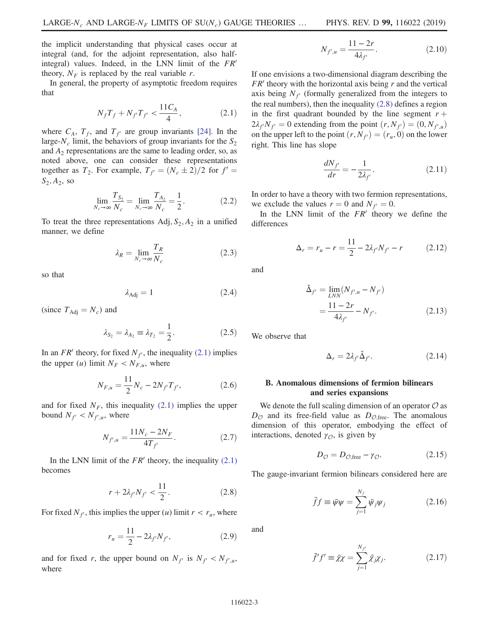the implicit understanding that physical cases occur at integral (and, for the adjoint representation, also halfintegral) values. Indeed, in the LNN limit of the  $FR<sup>′</sup>$ theory,  $N_F$  is replaced by the real variable r.

<span id="page-3-0"></span>In general, the property of asymptotic freedom requires that

$$
N_f T_f + N_{f'} T_{f'} < \frac{11C_A}{4},\tag{2.1}
$$

where  $C_A$ ,  $T_f$ , and  $T_{f'}$  are group invariants [\[24\]](#page-14-8). In the large- $N_c$  limit, the behaviors of group invariants for the  $S_2$ and  $A_2$  representations are the same to leading order, so, as noted above, one can consider these representations together as  $T_2$ . For example,  $T_{f'} = (N_c \pm 2)/2$  for  $f' =$  $S_2, A_2$ , so

$$
\lim_{N_c \to \infty} \frac{T_{S_2}}{N_c} = \lim_{N_c \to \infty} \frac{T_{A_2}}{N_c} = \frac{1}{2}.
$$
 (2.2)

To treat the three representations Adj,  $S_2$ ,  $A_2$  in a unified manner, we define

$$
\lambda_R = \lim_{N_c \to \infty} \frac{T_R}{N_c} \tag{2.3}
$$

so that

$$
\lambda_{\text{Adj}} = 1 \tag{2.4}
$$

(since  $T_{\text{Adj}} = N_c$ ) and

$$
\lambda_{S_2} = \lambda_{A_2} \equiv \lambda_{T_2} = \frac{1}{2}.
$$
 (2.5)

In an FR' theory, for fixed  $N_f$ , the inequality [\(2.1\)](#page-3-0) implies the upper  $(u)$  limit  $N_F < N_{F,u}$ , where

$$
N_{F,u} = \frac{11}{2} N_c - 2N_{f'} T_{f'},
$$
\n(2.6)

and for fixed  $N_F$ , this inequality [\(2.1\)](#page-3-0) implies the upper bound  $N_{f'} < N_{f',u}$ , where

$$
N_{f',u} = \frac{11N_c - 2N_F}{4T_{f'}}.\t(2.7)
$$

<span id="page-3-1"></span>In the LNN limit of the  $FR'$  theory, the inequality  $(2.1)$ becomes

$$
r + 2\lambda_{f'} N_{f'} < \frac{11}{2}.
$$
 (2.8)

For fixed  $N_f$ , this implies the upper (u) limit  $r < r_u$ , where

$$
r_u = \frac{11}{2} - 2\lambda_{f'} N_{f'},
$$
 (2.9)

and for fixed r, the upper bound on  $N_{f'}$  is  $N_{f'} < N_{f',u}$ , where

$$
N_{f',u} = \frac{11 - 2r}{4\lambda_{f'}}.\t(2.10)
$$

If one envisions a two-dimensional diagram describing the  $FR'$  theory with the horizontal axis being r and the vertical axis being  $N_f$  (formally generalized from the integers to the real numbers), then the inequality [\(2.8\)](#page-3-1) defines a region in the first quadrant bounded by the line segment  $r +$  $2\lambda_{f'}N_{f'} = 0$  extending from the point  $(r, N_{f'}) = (0, N_{f',u})$ on the upper left to the point  $(r, N_f) = (r_u, 0)$  on the lower right. This line has slope

$$
\frac{dN_{f'}}{dr} = -\frac{1}{2\lambda_{f'}}.\tag{2.11}
$$

In order to have a theory with two fermion representations, we exclude the values  $r = 0$  and  $N_{f'} = 0$ .

<span id="page-3-2"></span>In the LNN limit of the  $FR'$  theory we define the differences

$$
\Delta_r = r_u - r = \frac{11}{2} - 2\lambda_{f'} N_{f'} - r \tag{2.12}
$$

and

$$
\tilde{\Delta}_{f'} = \lim_{LNN} (N_{f',u} - N_{f'})
$$
\n
$$
= \frac{11 - 2r}{4\lambda_{f'}} - N_{f'}.
$$
\n(2.13)

We observe that

$$
\Delta_r = 2\lambda_{f'}\check{\Delta}_{f'}.\tag{2.14}
$$

## B. Anomalous dimensions of fermion bilinears and series expansions

We denote the full scaling dimension of an operator  $\mathcal O$  as  $D_{\mathcal{O}}$  and its free-field value as  $D_{\mathcal{O},\text{free}}$ . The anomalous dimension of this operator, embodying the effect of interactions, denoted  $\gamma_{\mathcal{O}}$ , is given by

$$
D_{\mathcal{O}} = D_{\mathcal{O},\text{free}} - \gamma_{\mathcal{O}}.\tag{2.15}
$$

The gauge-invariant fermion bilinears considered here are

$$
\bar{f}f \equiv \bar{\psi}\psi = \sum_{j=1}^{N_f} \bar{\psi}_j \psi_j \tag{2.16}
$$

and

$$
\bar{f}'f' \equiv \bar{\chi}\chi = \sum_{j=1}^{N_{f'}} \bar{\chi}_{j}\chi_{j}.
$$
 (2.17)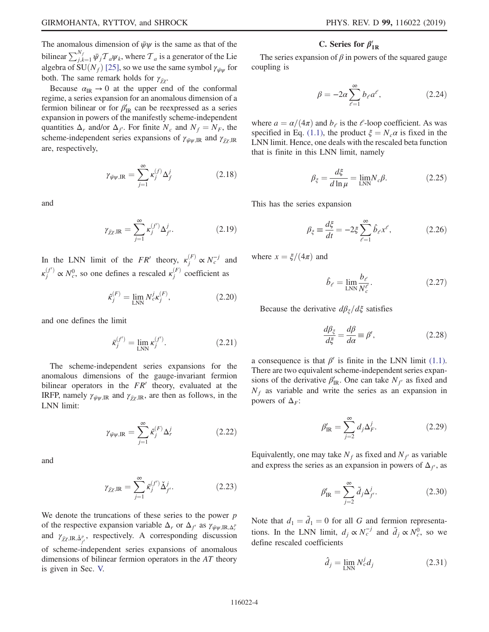The anomalous dimension of  $\bar{\psi}\psi$  is the same as that of the bilinear  $\sum_{j,k=1}^{N_f} \bar{\psi}_j \mathcal{T}_a \psi_k$ , where  $\mathcal{T}_a$  is a generator of the Lie algebra of SU( $N_f$ ) [\[25\]](#page-14-9), so we use the same symbol  $\gamma_{\bar{\psi}\psi}$  for both. The same remark holds for  $\gamma_{\bar{X}Y}$ .

<span id="page-4-0"></span>Because  $\alpha_{\text{IR}} \rightarrow 0$  at the upper end of the conformal regime, a series expansion for an anomalous dimension of a fermion bilinear or for  $\beta_{IR}$  can be reexpressed as a series expansion in powers of the manifestly scheme-independent quantities  $\Delta_r$  and/or  $\Delta_{f'}$ . For finite  $N_c$  and  $N_f = N_F$ , the scheme-independent series expansions of  $\gamma_{\bar{\psi}\psi,IR}$  and  $\gamma_{\bar{\chi}\chi,IR}$ are, respectively,

$$
\gamma_{\bar{\psi}\psi,\mathrm{IR}} = \sum_{j=1}^{\infty} \kappa_j^{(f)} \Delta_f^j \tag{2.18}
$$

<span id="page-4-1"></span>and

$$
\gamma_{\bar{\chi}\chi,\mathrm{IR}} = \sum_{j=1}^{\infty} \kappa_j^{(f')} \Delta_{f'}^j.
$$
 (2.19)

In the LNN limit of the  $FR'$  theory,  $\kappa_j^{(F)} \propto N_c^{-j}$  and  $\kappa_j^{(f')} \propto N_c^0$ , so one defines a rescaled  $\kappa_j^{(F)}$  coefficient as

$$
\hat{\kappa}_j^{(F)} = \lim_{\text{LNN}} N_c^j \kappa_j^{(F)},\tag{2.20}
$$

and one defines the limit

$$
\bar{\kappa}_j^{(f')} = \lim_{LNN} \kappa_j^{(f')}.
$$
\n(2.21)

The scheme-independent series expansions for the anomalous dimensions of the gauge-invariant fermion bilinear operators in the  $FR'$  theory, evaluated at the IRFP, namely  $\gamma_{\bar{\psi}\psi,IR}$  and  $\gamma_{\bar{\chi}\chi,IR}$ , are then as follows, in the LNN limit:

$$
\gamma_{\bar{\psi}\psi,\text{IR}} = \sum_{j=1}^{\infty} \hat{\kappa}_j^{(F)} \Delta_r^j \tag{2.22}
$$

and

$$
\gamma_{\bar{\chi}\chi,\mathrm{IR}} = \sum_{j=1}^{\infty} \bar{\kappa}_j^{(f')} \check{\Delta}_{f'}^j.
$$
 (2.23)

We denote the truncations of these series to the power  $p$ of the respective expansion variable  $\Delta_r$  or  $\Delta_{f'}$  as  $\gamma_{\bar{\psi}\psi, \text{IR}, \Delta_r^p}$ and  $\gamma_{\bar{\chi}\chi,\mathrm{IR},\check{\Delta}_{f'}^p}$ , respectively. A corresponding discussion of scheme-independent series expansions of anomalous dimensions of bilinear fermion operators in the AT theory is given in Sec. [V.](#page-11-0)

# C. Series for  $\beta'_{IR}$

The series expansion of  $\beta$  in powers of the squared gauge coupling is

$$
\beta = -2a \sum_{\ell=1}^{\infty} b_{\ell} a^{\ell}, \qquad (2.24)
$$

where  $a = \alpha/(4\pi)$  and  $b_{\ell}$  is the  $\ell$ -loop coefficient. As was specified in Eq. [\(1.1\)](#page-1-0), the product  $\xi = N_c \alpha$  is fixed in the LNN limit. Hence, one deals with the rescaled beta function that is finite in this LNN limit, namely

$$
\beta_{\xi} = \frac{d\xi}{d\ln\mu} = \lim_{\text{LNN}} N_c \beta. \tag{2.25}
$$

This has the series expansion

$$
\beta_{\xi} \equiv \frac{d\xi}{dt} = -2\xi \sum_{\ell=1}^{\infty} \hat{b}_{\ell} x^{\ell},\qquad(2.26)
$$

where  $x = \xi/(4\pi)$  and

$$
\hat{b}_{\ell} = \lim_{\text{LNN}} \frac{b_{\ell}}{N_c^{\ell}}.
$$
\n(2.27)

Because the derivative  $d\beta_{\xi}/d\xi$  satisfies

$$
\frac{d\beta_{\xi}}{d\xi} = \frac{d\beta}{d\alpha} \equiv \beta',\tag{2.28}
$$

<span id="page-4-2"></span>a consequence is that  $\beta'$  is finite in the LNN limit [\(1.1\)](#page-1-0). There are two equivalent scheme-independent series expansions of the derivative  $\beta'_{\text{IR}}$ . One can take  $N_{f'}$  as fixed and  $N_f$  as variable and write the series as an expansion in powers of  $\Delta_F$ :

$$
\beta'_{\rm IR} = \sum_{j=2}^{\infty} d_j \Delta^j_F. \tag{2.29}
$$

<span id="page-4-3"></span>Equivalently, one may take  $N_f$  as fixed and  $N_{f'}$  as variable and express the series as an expansion in powers of  $\Delta_{f}$ , as

$$
\beta'_{\rm IR} = \sum_{j=2}^{\infty} \tilde{d}_j \Delta^j_{f'}.
$$
\n(2.30)

Note that  $d_1 = \tilde{d}_1 = 0$  for all G and fermion representations. In the LNN limit,  $d_j \propto N_c^{-j}$  and  $\tilde{d}_j \propto N_c^0$ , so we define rescaled coefficients

$$
\hat{d}_j = \lim_{\text{LNN}} N_c^j d_j \tag{2.31}
$$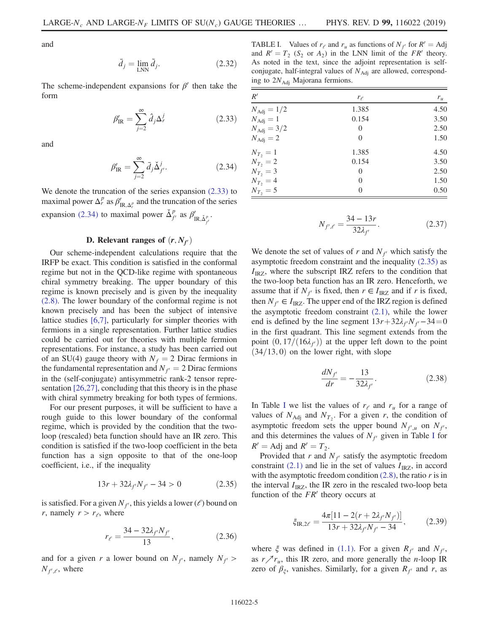and

$$
\bar{d}_j = \lim_{\text{LNN}} \tilde{d}_j. \tag{2.32}
$$

<span id="page-5-0"></span>The scheme-independent expansions for  $\beta'$  then take the form

$$
\beta'_{\rm IR} = \sum_{j=2}^{\infty} \hat{d}_j \Delta_r^j \tag{2.33}
$$

<span id="page-5-1"></span>and

$$
\beta'_{\rm IR} = \sum_{j=2}^{\infty} \bar{d}_j \check{\Delta}^j_{f'}.
$$
\n(2.34)

We denote the truncation of the series expansion [\(2.33\)](#page-5-0) to maximal power  $\Delta_r^p$  as  $\beta'_{\text{IR},\Delta_r^p}$  and the truncation of the series expansion [\(2.34\)](#page-5-1) to maximal power  $\Delta_{f'}^p$  as  $\beta'_{IR,\Delta_{f'}^p}$ .

#### D. Relevant ranges of  $(r, N_{f})$

Our scheme-independent calculations require that the IRFP be exact. This condition is satisfied in the conformal regime but not in the QCD-like regime with spontaneous chiral symmetry breaking. The upper boundary of this regime is known precisely and is given by the inequality [\(2.8\).](#page-3-1) The lower boundary of the conformal regime is not known precisely and has been the subject of intensive lattice studies [\[6,7\]](#page-14-0), particularly for simpler theories with fermions in a single representation. Further lattice studies could be carried out for theories with multiple fermion representations. For instance, a study has been carried out of an SU(4) gauge theory with  $N_f = 2$  Dirac fermions in the fundamental representation and  $N_f = 2$  Dirac fermions in the (self-conjugate) antisymmetric rank-2 tensor representation [\[26,27\]](#page-14-10), concluding that this theory is in the phase with chiral symmetry breaking for both types of fermions.

For our present purposes, it will be sufficient to have a rough guide to this lower boundary of the conformal regime, which is provided by the condition that the twoloop (rescaled) beta function should have an IR zero. This condition is satisfied if the two-loop coefficient in the beta function has a sign opposite to that of the one-loop coefficient, i.e., if the inequality

$$
13r + 32\lambda_{f'} N_{f'} - 34 > 0 \tag{2.35}
$$

<span id="page-5-2"></span>is satisfied. For a given  $N_f$ , this yields a lower ( $\ell$ ) bound on r, namely  $r > r_e$ , where

$$
r_{\ell} = \frac{34 - 32\lambda_{f'} N_{f'}}{13},\tag{2.36}
$$

and for a given r a lower bound on  $N_{f}$ , namely  $N_{f}$  >  $N_{f',\ell}$ , where

<span id="page-5-3"></span>TABLE I. Values of  $r_e$  and  $r_u$  as functions of  $N_{f'}$  for  $R' = \text{Adj}$ and  $R' = T_2$  (S<sub>2</sub> or A<sub>2</sub>) in the LNN limit of the FR' theory. As noted in the text, since the adjoint representation is selfconjugate, half-integral values of  $N_{\text{Adj}}$  are allowed, corresponding to  $2N_{\text{Adj}}$  Majorana fermions.

| R'                  | $r_{\ell}$     | $r_u$ |  |
|---------------------|----------------|-------|--|
| $N_{\rm Adj} = 1/2$ | 1.385          | 4.50  |  |
| $N_{\rm Adj}=1$     | 0.154          | 3.50  |  |
| $N_{\rm Adj} = 3/2$ | $\Omega$       | 2.50  |  |
| $N_{\rm Adj} = 2$   | $\overline{0}$ | 1.50  |  |
| $N_{T_2} = 1$       | 1.385          | 4.50  |  |
| $N_{T_2} = 2$       | 0.154          | 3.50  |  |
| $N_{T_2} = 3$       | 0              | 2.50  |  |
| $N_{T_2} = 4$       | $\theta$       | 1.50  |  |
| $N_{T_2} = 5$       | $\Omega$       | 0.50  |  |

$$
N_{f',\ell} = \frac{34 - 13r}{32\lambda_{f'}}.\t(2.37)
$$

We denote the set of values of r and  $N_f$  which satisfy the asymptotic freedom constraint and the inequality [\(2.35\)](#page-5-2) as  $I_{IRZ}$ , where the subscript IRZ refers to the condition that the two-loop beta function has an IR zero. Henceforth, we assume that if  $N_{f'}$  is fixed, then  $r \in I_{IRZ}$  and if r is fixed, then  $N_{f'} \in I_{IRZ}$ . The upper end of the IRZ region is defined the asymptotic freedom constraint [\(2.1\),](#page-3-0) while the lower end is defined by the line segment  $13r+32\lambda_f/N_f-34=0$ in the first quadrant. This line segment extends from the point  $(0, 17/(16\lambda_f))$  at the upper left down to the point  $(34/13, 0)$  on the lower right, with slope

$$
\frac{dN_{f'}}{dr} = -\frac{13}{32\lambda_{f'}}.\t(2.38)
$$

[I](#page-5-3)n Table I we list the values of  $r_e$  and  $r_u$  for a range of values of  $N_{\text{Adj}}$  and  $N_{T_2}$ . For a given r, the condition of asymptotic freedom sets the upper bound  $N_{f',u}$  on  $N_{f'}$ , and this determines the values of  $N_f$  given in Table [I](#page-5-3) for  $R'$  = Adj and  $R'$  =  $T_2$ .

Provided that r and  $N_f$  satisfy the asymptotic freedom constraint [\(2.1\)](#page-3-0) and lie in the set of values  $I_{IRZ}$ , in accord with the asymptotic freedom condition  $(2.8)$ , the ratio r is in the interval  $I_{IRZ}$ , the IR zero in the rescaled two-loop beta function of the  $FR'$  theory occurs at

$$
\xi_{\text{IR},2\ell} = \frac{4\pi [11 - 2(r + 2\lambda_{f'} N_{f'})]}{13r + 32\lambda_{f'} N_{f'} - 34},
$$
 (2.39)

where  $\xi$  was defined in [\(1.1\).](#page-1-0) For a given  $R_{f'}$  and  $N_{f'}$ , as  $r \nearrow r_u$ , this IR zero, and more generally the *n*-loop IR zero of  $\beta_{\xi}$ , vanishes. Similarly, for a given  $R_{f'}$  and r, as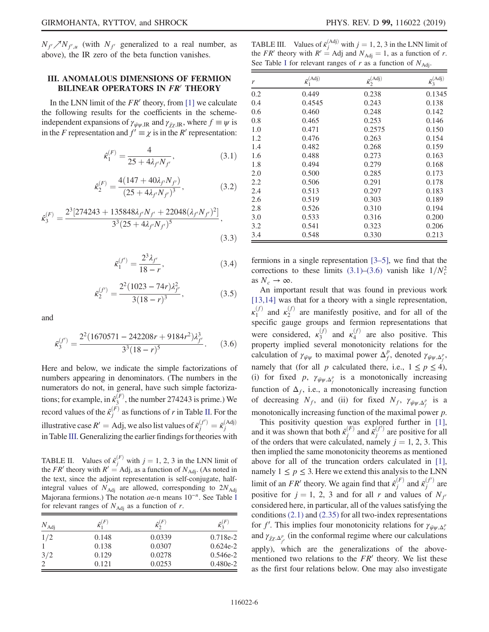$N_{f'}/\sqrt{N_{f',u}}$  (with  $N_{f'}$  generalized to a real number, as above), the IR zero of the beta function vanishes.

## <span id="page-6-0"></span>III. ANOMALOUS DIMENSIONS OF FERMION BILINEAR OPERATORS IN FR' THEORY

<span id="page-6-3"></span>In the LNN limit of the  $FR'$  theory, from [\[1\]](#page-13-0) we calculate the following results for the coefficients in the schemeindependent expansions of  $\gamma_{\bar{\psi}\psi}$  and  $\gamma_{\bar{\gamma}\gamma}$  is  $\psi$  is in the F representation and  $f' \equiv \chi$  is in the R' representation:

$$
\hat{\kappa}_1^{(F)} = \frac{4}{25 + 4\lambda_{f'} N_{f'}},\tag{3.1}
$$

$$
\hat{\kappa}_2^{(F)} = \frac{4(147 + 40\lambda_{f'} N_{f'})}{(25 + 4\lambda_{f'} N_{f'})^3},
$$
\n(3.2)

$$
\hat{\kappa}_3^{(F)} = \frac{2^3 [274243 + 135848 \lambda_{f'} N_{f'} + 22048 (\lambda_{f'} N_{f'})^2]}{3^3 (25 + 4 \lambda_{f'} N_{f'})^5},
$$
\n(3.3)

$$
\bar{\kappa}_1^{(f')} = \frac{2^3 \lambda_{f'}}{18 - r},\tag{3.4}
$$

$$
\bar{\kappa}_2^{(f')} = \frac{2^2 (1023 - 74r) \lambda_{f'}^2}{3(18 - r)^3},\tag{3.5}
$$

<span id="page-6-4"></span>and

$$
\bar{\kappa}_3^{(f')} = \frac{2^2 (1670571 - 242208r + 9184r^2)\lambda_{f'}^3}{3^3 (18 - r)^5}.
$$
 (3.6)

Here and below, we indicate the simple factorizations of numbers appearing in denominators. (The numbers in the numerators do not, in general, have such simple factorizations; for example, in  $\hat{\kappa}_3^{(F)}$ , the number 274243 is prime.) We record values of the  $\hat{\kappa}_j^{(F)}$  as functions of r in Table [II](#page-6-1). For the illustrative case  $R' = \text{Adj}$ , we also list values of  $\bar{\kappa}_j^{(f')} = \bar{\kappa}_j^{(\text{Adj})}$ in Table [III.](#page-6-2) Generalizing the earlier findings for theories with

<span id="page-6-1"></span>TABLE II. Values of  $\hat{\kappa}_j^{(F)}$  with  $j = 1, 2, 3$  in the LNN limit of the FR' theory with  $R' =$  Adj, as a function of  $N_{\text{Adj}}$ . (As noted in the text, since the adjoint representation is self-conjugate, halfintegral values of  $N_{\text{Adj}}$  are allowed, corresponding to  $2N_{\text{Adj}}$ Majorana fermions.) The notation  $ae$ -n means  $10<sup>-n</sup>$ . See Table [I](#page-5-3) for relevant ranges of  $N_{\text{Adj}}$  as a function of r.

| $N_{\rm Adj}$  | $\hat{\kappa}^{(F)}_1$ | $\hat{\kappa}_{2}^{(F)}$ | $\hat{\kappa}_{3}^{(F)}$ |
|----------------|------------------------|--------------------------|--------------------------|
| 1/2            | 0.148                  | 0.0339                   | $0.718e-2$               |
|                | 0.138                  | 0.0307                   | $0.624e-2$               |
| 3/2            | 0.129                  | 0.0278                   | $0.546e-2$               |
| $\overline{c}$ | 0.121                  | 0.0253                   | $0.480e-2$               |

<span id="page-6-2"></span>TABLE III. Values of  $\bar{\kappa}_j^{\text{(Adj)}}$  with  $j = 1, 2, 3$  in the LNN limit of the *FR'* theory with  $R' =$  Adj and  $N_{\text{Adj}} = 1$ , as a function of r. See Table [I](#page-5-3) for relevant ranges of r as a function of  $N_{\text{Adj}}$ .

| r   | $\bar{\kappa}_1^{\text{(Adj)}}$ | $\bar{\kappa}_2^{(Adj)}$ | $\bar{\kappa}_3^{\text{(Adj)}}$ |
|-----|---------------------------------|--------------------------|---------------------------------|
| 0.2 | 0.449                           | 0.238                    | 0.1345                          |
| 0.4 | 0.4545                          | 0.243                    | 0.138                           |
| 0.6 | 0.460                           | 0.248                    | 0.142                           |
| 0.8 | 0.465                           | 0.253                    | 0.146                           |
| 1.0 | 0.471                           | 0.2575                   | 0.150                           |
| 1.2 | 0.476                           | 0.263                    | 0.154                           |
| 1.4 | 0.482                           | 0.268                    | 0.159                           |
| 1.6 | 0.488                           | 0.273                    | 0.163                           |
| 1.8 | 0.494                           | 0.279                    | 0.168                           |
| 2.0 | 0.500                           | 0.285                    | 0.173                           |
| 2.2 | 0.506                           | 0.291                    | 0.178                           |
| 2.4 | 0.513                           | 0.297                    | 0.183                           |
| 2.6 | 0.519                           | 0.303                    | 0.189                           |
| 2.8 | 0.526                           | 0.310                    | 0.194                           |
| 3.0 | 0.533                           | 0.316                    | 0.200                           |
| 3.2 | 0.541                           | 0.323                    | 0.206                           |
| 3.4 | 0.548                           | 0.330                    | 0.213                           |

fermions in a single representation [3–[5\],](#page-13-2) we find that the corrections to these limits [\(3.1\)](#page-6-3)–[\(3.6\)](#page-6-4) vanish like  $1/N_c^2$ as  $N_c \rightarrow \infty$ .

An important result that was found in previous work [\[13,14\]](#page-14-11) was that for a theory with a single representation,  $\kappa_1^{(f)}$  and  $\kappa_2^{(f)}$  are manifestly positive, and for all of the specific gauge groups and fermion representations that were considered,  $\kappa_3^{(f)}$  and  $\kappa_4^{(f)}$  are also positive. This property implied several monotonicity relations for the calculation of  $\gamma_{\bar{\psi}\psi}$  to maximal power  $\Delta_f^p$ , denoted  $\gamma_{\bar{\psi}\psi,\Delta_f^p}$ , namely that (for all p calculated there, i.e.,  $1 \le p \le 4$ ), (i) for fixed p,  $\gamma_{\bar{\psi}\psi,\Delta_f^p}$  is a monotonically increasing function of  $\Delta_f$ , i.e., a monotonically increasing function of decreasing  $N_f$ , and (ii) for fixed  $N_f$ ,  $\gamma_{\bar{\psi}\psi,\Delta_f^p}$  is a monotonically increasing function of the maximal power p.

This positivity question was explored further in [\[1\]](#page-13-0), and it was shown that both  $\hat{\kappa}_j^{(F)}$  and  $\hat{\kappa}_j^{(f')}$  are positive for all of the orders that were calculated, namely  $j = 1, 2, 3$ . This then implied the same monotonicity theorems as mentioned above for all of the truncation orders calculated in [\[1\]](#page-13-0), namely  $1 \le p \le 3$ . Here we extend this analysis to the LNN limit of an FR' theory. We again find that  $\hat{\kappa}_j^{(F)}$  and  $\bar{\kappa}_j^{(f')}$  are positive for  $j = 1, 2, 3$  and for all r and values of  $N_f$ considered here, in particular, all of the values satisfying the conditions  $(2.1)$  and  $(2.35)$  for all two-index representations for f'. This implies four monotonicity relations for  $\gamma_{\bar{\psi}\psi,\Delta_r^p}$ and  $\gamma_{\bar{\chi}\chi,\Delta_{f'}^p}$  (in the conformal regime where our calculations apply), which are the generalizations of the abovementioned two relations to the  $FR<sup>′</sup>$  theory. We list these as the first four relations below. One may also investigate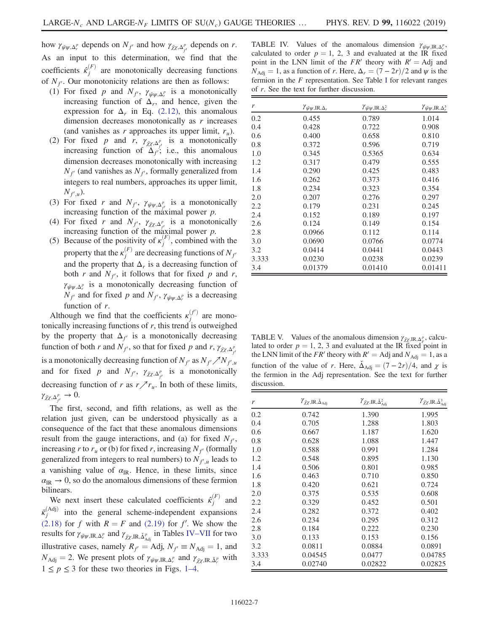how  $\gamma_{\bar{\psi}\psi,\Delta_r^p}$  depends on  $N_{f'}$  and how  $\gamma_{\bar{\chi}\chi,\Delta_{f'}^p}$  depends on r. As an input to this determination, we find that the coefficients  $\hat{\kappa}_j^{(F)}$  are monotonically decreasing functions of  $N_f$ . Our monotonicity relations are then as follows:

- (1) For fixed p and  $N_{f}$ ,  $\gamma_{\bar{\psi}\psi,\Delta_r^p}$  is a monotonically increasing function of  $\Delta_r$ , and hence, given the expression for  $\Delta_r$  in Eq. [\(2.12\)](#page-3-2), this anomalous dimension decreases monotonically as r increases (and vanishes as r approaches its upper limit,  $r_u$ ).
- (2) For fixed p and r,  $\gamma_{\bar{Z}\chi,\Delta_{f'}^p}$  is a monotonically increasing function of  $\Delta f$ ; i.e., this anomalous dimension decreases monotonically with increasing  $N_f$ <sup>o</sup> (and vanishes as  $N_f$ <sup>o</sup>, formally generalized from integers to real numbers, approaches its upper limit,  $N_{f',u}$ ).
- (3) For fixed r and  $N_{f}$ ,  $\gamma_{\bar{\psi}\psi,\Delta_{f}^p}$  is a monotonically increasing function of the maximal power  $p$ .
- (4) For fixed r and  $N_{f}$ ,  $\gamma_{\bar{\chi} \chi, \Delta_{f}^p}$  is a monotonically increasing function of the maximal power p.
- (5) Because of the positivity of  $\kappa_j^{(F)}$ , combined with the property that the  $\kappa_j^{(F)}$  are decreasing functions of  $N_{f'}$ and the property that  $\Delta_r$  is a decreasing function of both r and  $N_f$ , it follows that for fixed p and r,  $\gamma_{\bar{\psi}\psi,\Delta_r^p}$  is a monotonically decreasing function of  $N_{f'}$  and for fixed p and  $N_{f'}$ ,  $\gamma_{\bar{\psi}\psi,\Delta_r^p}$  is a decreasing function of r.

Although we find that the coefficients  $\kappa_j^{(f')}$  are monotonically increasing functions of  $r$ , this trend is outweighed by the property that  $\Delta_{f'}$  is a monotonically decreasing function of both r and  $N_{f'}$ , so that for fixed p and r,  $\gamma_{\bar{\chi}\chi,\Delta_{f'}^p}$ is a monotonically decreasing function of  $N_{f'}$  as  $N_{f'}/\sqrt{N_{f',u}}$ and for fixed p and  $N_{f}$ ,  $\gamma_{\bar{X} \times \Delta_{f}^p}$  is a monotonically decreasing function of r as  $r \nearrow r_u$ . In both of these limits,  $\gamma_{\bar{\chi}\chi,\Delta^p_{f'}}\to 0.$ 

The first, second, and fifth relations, as well as the relation just given, can be understood physically as a consequence of the fact that these anomalous dimensions result from the gauge interactions, and (a) for fixed  $N_f$ , increasing r to  $r_u$  or (b) for fixed r, increasing  $N_f$  (formally generalized from integers to real numbers) to  $N_{f',u}$  leads to a vanishing value of  $\alpha_{IR}$ . Hence, in these limits, since  $\alpha_{IR} \rightarrow 0$ , so do the anomalous dimensions of these fermion bilinears.

We next insert these calculated coefficients  $\hat{\kappa}_j^{(F)}$  and  $\bar{\kappa}_j^{\text{(Adj)}}$  into the general scheme-independent expansions [\(2.18\)](#page-4-0) for f with  $R = F$  and [\(2.19\)](#page-4-1) for f'. We show the results for  $\gamma_{\bar{\psi}\psi,\mathrm{IR},\Delta_r^p}$  and  $\gamma_{\bar{\chi}\chi,\mathrm{IR},\breve{\Delta}_{\mathrm{Adj}}^p}$  in Tables IV–[VII](#page-7-0) for two illustrative cases, namely  $R_f =$  Adj,  $N_f \equiv N_{\text{Adj}} = 1$ , and  $N_{\text{Adj}} = 2$ . We present plots of  $\gamma_{\bar{\psi}\psi,\text{IR},\Delta_r^p}$  and  $\gamma_{\bar{\chi}\chi,\text{IR},\tilde{\Delta}_r^p}$  with  $1 \leq p \leq 3$  for these two theories in Figs. 1–[4.](#page-8-0)

<span id="page-7-0"></span>TABLE IV. Values of the anomalous dimension  $\gamma_{\bar{\psi}\psi,\mathrm{IR},\Delta_r^p}$ , calculated to order  $p = 1, 2, 3$  and evaluated at the IR fixed point in the LNN limit of the  $FR'$  theory with  $R' = \text{Adj}$  and  $N_{\text{Adj}} = 1$ , as a function of r. Here,  $\Delta_r = (7 - 2r)/2$  and  $\psi$  is the fermion in the  $F$  representation. See Table [I](#page-5-3) for relevant ranges of r. See the text for further discussion.

| r     | $\gamma_{\bar{\psi}\psi, \text{IR}, \Delta_r}$ | $\gamma_{\bar{\psi}\psi, \text{IR}, \Delta_r^2}$ | $\gamma_{\bar{\psi}\psi, \text{IR}, \Delta_r^3}$ |
|-------|------------------------------------------------|--------------------------------------------------|--------------------------------------------------|
| 0.2   | 0.455                                          | 0.789                                            | 1.014                                            |
| 0.4   | 0.428                                          | 0.722                                            | 0.908                                            |
| 0.6   | 0.400                                          | 0.658                                            | 0.810                                            |
| 0.8   | 0.372                                          | 0.596                                            | 0.719                                            |
| 1.0   | 0.345                                          | 0.5365                                           | 0.634                                            |
| 1.2   | 0.317                                          | 0.479                                            | 0.555                                            |
| 1.4   | 0.290                                          | 0.425                                            | 0.483                                            |
| 1.6   | 0.262                                          | 0.373                                            | 0.416                                            |
| 1.8   | 0.234                                          | 0.323                                            | 0.354                                            |
| 2.0   | 0.207                                          | 0.276                                            | 0.297                                            |
| 2.2   | 0.179                                          | 0.231                                            | 0.245                                            |
| 2.4   | 0.152                                          | 0.189                                            | 0.197                                            |
| 2.6   | 0.124                                          | 0.149                                            | 0.154                                            |
| 2.8   | 0.0966                                         | 0.112                                            | 0.114                                            |
| 3.0   | 0.0690                                         | 0.0766                                           | 0.0774                                           |
| 3.2   | 0.0414                                         | 0.0441                                           | 0.0443                                           |
| 3.333 | 0.0230                                         | 0.0238                                           | 0.0239                                           |
| 3.4   | 0.01379                                        | 0.01410                                          | 0.01411                                          |

<span id="page-7-1"></span>TABLE V. Values of the anomalous dimension  $\gamma_{\bar{\chi}\chi,\mathrm{IR},\Delta_F^p}$ , calculated to order  $p = 1, 2, 3$  and evaluated at the IR fixed point in the LNN limit of the FR' theory with  $R' =$  Adj and  $N_{\text{Adj}} = 1$ , as a function of the value of r. Here,  $\dot{\Delta}_{\text{Adj}} = (7 - 2r)/4$ , and  $\chi$  is the fermion in the Adj representation. See the text for further discussion.

| r     | $\gamma_{\bar{\chi}\chi, \mathrm{IR}, \check{\Delta}_{\mathrm{Adj}}}$ | $\gamma_{\bar{\chi}\chi,IR,\check{\Delta}^2_{\rm Adi}}$ | $\gamma_{\bar{\chi}\chi, \mathrm{IR}, \check{\Delta}^3_{\mathrm{Adj}}}$ |
|-------|-----------------------------------------------------------------------|---------------------------------------------------------|-------------------------------------------------------------------------|
| 0.2   | 0.742                                                                 | 1.390                                                   | 1.995                                                                   |
| 0.4   | 0.705                                                                 | 1.288                                                   | 1.803                                                                   |
| 0.6   | 0.667                                                                 | 1.187                                                   | 1.620                                                                   |
| 0.8   | 0.628                                                                 | 1.088                                                   | 1.447                                                                   |
| 1.0   | 0.588                                                                 | 0.991                                                   | 1.284                                                                   |
| 1.2   | 0.548                                                                 | 0.895                                                   | 1.130                                                                   |
| 1.4   | 0.506                                                                 | 0.801                                                   | 0.985                                                                   |
| 1.6   | 0.463                                                                 | 0.710                                                   | 0.850                                                                   |
| 1.8   | 0.420                                                                 | 0.621                                                   | 0.724                                                                   |
| 2.0   | 0.375                                                                 | 0.535                                                   | 0.608                                                                   |
| 2.2   | 0.329                                                                 | 0.452                                                   | 0.501                                                                   |
| 2.4   | 0.282                                                                 | 0.372                                                   | 0.402                                                                   |
| 2.6   | 0.234                                                                 | 0.295                                                   | 0.312                                                                   |
| 2.8   | 0.184                                                                 | 0.222                                                   | 0.230                                                                   |
| 3.0   | 0.133                                                                 | 0.153                                                   | 0.156                                                                   |
| 3.2   | 0.0811                                                                | 0.0884                                                  | 0.0891                                                                  |
| 3.333 | 0.04545                                                               | 0.0477                                                  | 0.04785                                                                 |
| 3.4   | 0.02740                                                               | 0.02822                                                 | 0.02825                                                                 |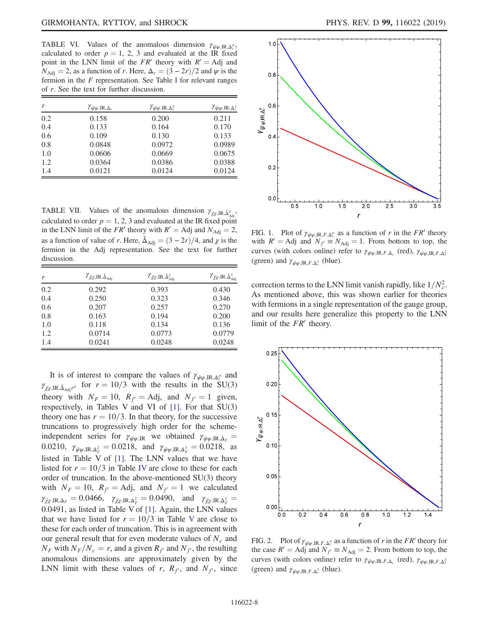TABLE VI. Values of the anomalous dimension  $\gamma_{\bar{\psi}\psi,IR,\Delta_r^p}$ , calculated to order  $p = 1, 2, 3$  and evaluated at the IR fixed point in the LNN limit of the  $FR'$  theory with  $R' = \text{Adj}$  and  $N_{\text{Adj}} = 2$ , as a function of r. Here,  $\Delta_r = (3 - 2r)/2$  and  $\psi$  is the fermion in the  $F$  representation. See Table [I](#page-5-3) for relevant ranges of r. See the text for further discussion.

| r   | $\gamma_{\bar{\psi}\psi, \text{IR}, \Delta_r}$ | $\gamma_{\bar{\psi}\psi,\mathrm{IR},\Delta_r^2}$ | $\gamma_{\bar{\psi}\psi,\mathrm{IR},\Delta_r^3}$ |
|-----|------------------------------------------------|--------------------------------------------------|--------------------------------------------------|
| 0.2 | 0.158                                          | 0.200                                            | 0.211                                            |
| 0.4 | 0.133                                          | 0.164                                            | 0.170                                            |
| 0.6 | 0.109                                          | 0.130                                            | 0.133                                            |
| 0.8 | 0.0848                                         | 0.0972                                           | 0.0989                                           |
| 1.0 | 0.0606                                         | 0.0669                                           | 0.0675                                           |
| 1.2 | 0.0364                                         | 0.0386                                           | 0.0388                                           |
| 1.4 | 0.0121                                         | 0.0124                                           | 0.0124                                           |

TABLE VII. Values of the anomalous dimension  $\gamma_{\bar{\chi}\chi,\mathrm{IR},\Delta_{\mathrm{Adj}}^p}$ calculated to order  $p = 1, 2, 3$  and evaluated at the IR fixed point in the LNN limit of the FR' theory with  $R' =$  Adj and  $N_{\text{Adj}} = 2$ , as a function of value of r. Here,  $\Delta_{\text{Adj}} = (3 - 2r)/4$ , and  $\chi$  is the fermion in the Adj representation. See the text for further discussion.

| r   | $\gamma_{\bar{\chi}\chi,IR,\Delta_{\rm Adi}}$ | $\gamma_{\bar{\chi}\chi, \mathrm{IR}, \check{\Delta}^2_{\mathrm{Adj}}}$ | $\gamma_{\bar{\chi}\chi,\mathrm{IR},\check{\Delta}^3_{\mathrm{Adj}}}$ |
|-----|-----------------------------------------------|-------------------------------------------------------------------------|-----------------------------------------------------------------------|
| 0.2 | 0.292                                         | 0.393                                                                   | 0.430                                                                 |
| 0.4 | 0.250                                         | 0.323                                                                   | 0.346                                                                 |
| 0.6 | 0.207                                         | 0.257                                                                   | 0.270                                                                 |
| 0.8 | 0.163                                         | 0.194                                                                   | 0.200                                                                 |
| 1.0 | 0.118                                         | 0.134                                                                   | 0.136                                                                 |
| 1.2 | 0.0714                                        | 0.0773                                                                  | 0.0779                                                                |
| 1.4 | 0.0241                                        | 0.0248                                                                  | 0.0248                                                                |

It is of interest to compare the values of  $\gamma_{\bar{\psi}\psi,IR,\Delta_r^p}$  and  $\gamma_{\bar{\chi}\chi,\mathrm{IR},\check{\Delta}_{\mathrm{Adi}}r^p}$  for  $r = 10/3$  with the results in the SU(3) theory with  $N_F = 10$ ,  $R_f =$  Adj, and  $N_f = 1$  given, respectively, in Tables V and VI of [\[1\]](#page-13-0). For that SU(3) theory one has  $r = 10/3$ . In that theory, for the successive truncations to progressively high order for the schemeindependent series for  $\gamma_{\bar{\psi}\psi,IR}$  we obtained  $\gamma_{\bar{\psi}\psi,IR,\Delta_F}$  = 0.0210,  $\gamma_{\bar{\psi}\psi, \text{IR}, \Delta_F^2} = 0.0218$ , and  $\gamma_{\bar{\psi}\psi, \text{IR}, \Delta_F^3} = 0.0218$ , as listed in Table V of [\[1\].](#page-13-0) The LNN values that we have listed for  $r = 10/3$  in Table [IV](#page-7-0) are close to these for each order of truncation. In the above-mentioned SU(3) theory with  $N_F = 10$ ,  $R_f =$ Adj, and  $N_f = 1$  we calculated  $\gamma_{\bar{\chi}\chi,\mathrm{IR},\Delta_F} = 0.0466, \quad \gamma_{\bar{\chi}\chi,\mathrm{IR},\Delta_F^2} = 0.0490, \quad \text{and} \quad \gamma_{\bar{\chi}\chi,\mathrm{IR},\Delta_F^3} = 0$ 0.0491, as listed in Table V of [\[1\].](#page-13-0) Again, the LNN values that we have listed for  $r = 10/3$  in Table [V](#page-7-1) are close to these for each order of truncation. This is in agreement with our general result that for even moderate values of  $N_c$  and  $N_F$  with  $N_F/N_c = r$ , and a given  $R_f$  and  $N_f$ , the resulting anomalous dimensions are approximately given by the LNN limit with these values of r,  $R_f$ , and  $N_f$ , since

<span id="page-8-0"></span>

FIG. 1. Plot of  $\gamma_{\bar{\psi}\psi,\mathrm{IR},F,\Delta_r^p}$  as a function of r in the FR' theory with  $R' = \text{Adj}$  and  $N_f \equiv N_{\text{Adj}} = 1$ . From bottom to top, the curves (with colors online) refer to  $\gamma_{\bar{\psi}\psi,IR,F,\Delta_r}$  (red),  $\gamma_{\bar{\psi}\psi,IR,F,\Delta_r}$ (green) and  $\gamma_{\bar{\psi}\psi,IR,F,\Delta_r^3}$  (blue).

correction terms to the LNN limit vanish rapidly, like  $1/N_c^2$ . As mentioned above, this was shown earlier for theories with fermions in a single representation of the gauge group, and our results here generalize this property to the LNN limit of the  $FR<sup>′</sup>$  theory.



FIG. 2. Plot of  $\gamma_{\bar{\psi}\psi,\mathrm{IR},F,\Delta_r^p}$  as a function of r in the FR' theory for the case  $R' =$  Adj and  $N_f \equiv N_{\text{Adj}} = 2$ . From bottom to top, the curves (with colors online) refer to  $\gamma_{\bar{\psi}\psi,IR,F,\Delta_r}$  (red),  $\gamma_{\bar{\psi}\psi,IR,F,\Delta_r}$ (green) and  $\gamma_{\bar{\psi}\psi,IR,F,\Delta_r^3}$  (blue).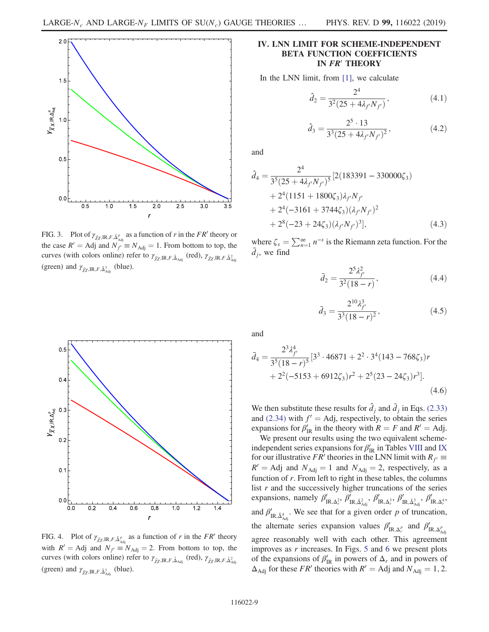

FIG. 3. Plot of  $\gamma_{\bar{\chi}\chi,\mathrm{IR},F,\Delta_{\text{Adj}}^p}$  as a function of r in the FR' theory or the case  $R' =$  Adj and  $N_{f'} \equiv N_{\text{Adj}} = 1$ . From bottom to top, the curves (with colors online) refer to  $\gamma_{\bar{\chi}\chi,IR,F,\check{\Delta}_{\text{Adj}}}$  (red),  $\gamma_{\bar{\chi}\chi,IR,F,\check{\Delta}^2_{\text{Adj}}}$ (green) and  $\gamma_{\bar{\chi}\chi,\mathrm{IR},F,\check{\Delta}^3_{\mathrm{Adj}}}$  (blue).

## <span id="page-9-0"></span>IV. LNN LIMIT FOR SCHEME-INDEPENDENT BETA FUNCTION COEFFICIENTS IN FR' THEORY

In the LNN limit, from [\[1\],](#page-13-0) we calculate

$$
\hat{d}_2 = \frac{2^4}{3^2 (25 + 4\lambda_{f'} N_{f'})},\tag{4.1}
$$

$$
\hat{d}_3 = \frac{2^5 \cdot 13}{3^3 (25 + 4\lambda_{f'} N_{f'})^2},\tag{4.2}
$$

and

$$
\hat{d}_4 = \frac{2^4}{3^5 (25 + 4\lambda_{f'} N_{f'})^5} [2(183391 - 330000\zeta_3) \n+ 2^4 (1151 + 1800\zeta_3) \lambda_{f'} N_{f'} \n+ 2^4 (-3161 + 3744\zeta_3) (\lambda_{f'} N_{f'})^2 \n+ 2^8 (-23 + 24\zeta_3) (\lambda_{f'} N_{f'})^3],
$$
\n(4.3)

where  $\zeta_s = \sum_{n=1}^{\infty} n^{-s}$  is the Riemann zeta function. For the  $\bar{d}_j$ , we find

$$
\bar{d}_2 = \frac{2^5 \lambda_{f'}^2}{3^2 (18 - r)},\tag{4.4}
$$

$$
\bar{d}_3 = \frac{2^{10} \lambda_{f'}^3}{3^3 (18 - r)^2},\tag{4.5}
$$

and

$$
\bar{d}_4 = \frac{2^3 \lambda_{f'}^4}{3^5 (18 - r)^5} [3^3 \cdot 46871 + 2^2 \cdot 3^4 (143 - 768 \zeta_3) r + 2^2 (-5153 + 6912 \zeta_3) r^2 + 2^5 (23 - 24 \zeta_3) r^3].
$$
\n(4.6)

We then substitute these results for  $\hat{d}_j$  and  $\bar{d}_j$  in Eqs. [\(2.33\)](#page-5-0) and [\(2.34\)](#page-5-1) with  $f' = \text{Adj}$ , respectively, to obtain the series expansions for  $\beta'_{IR}$  in the theory with  $R = F$  and  $R' = Adj$ .

We present our results using the two equivalent schemeindependent series expansions for  $\beta_{\rm IR}'$  in Tables [VIII](#page-10-0) and [IX](#page-10-1) for our illustrative FR' theories in the LNN limit with  $R_{f'} \equiv$  $R'$  = Adj and  $N_{\text{Adj}} = 1$  and  $N_{\text{Adj}} = 2$ , respectively, as a function of r. From left to right in these tables, the columns list  $r$  and the successively higher truncations of the series expansions, namely  $\beta'_{IR,\Delta_r^2}$ ,  $\beta'_{IR,\check{\Delta}_{Adj}^2}$ ,  $\beta'_{IR,\Delta_r^3}$ ,  $\beta'_{IR,\check{\Delta}_{Adj}^3}$ ,  $\beta'_{IR,\Delta_r^4}$ , and  $\beta'_{IR, \check{\Delta}^4_{\text{Adj}}}$ . We see that for a given order p of truncation, the alternate series expansion values  $\beta'_{IR,\Delta_r^p}$  and  $\beta'_{IR,\Delta_{\text{Adj}}^p}$ agree reasonably well with each other. This agreement improves as  $r$  increases. In Figs. [5](#page-10-2) and [6](#page-10-3) we present plots of the expansions of  $\beta_{\text{IR}}'$  in powers of  $\Delta_r$  and in powers of  $\Delta_{\text{Adj}}$  for these *FR'* theories with  $R' =$  Adj and  $N_{\text{Adj}} = 1, 2$ .



FIG. 4. Plot of  $\gamma_{\bar{Z}\chi,\mathrm{IR}, F, \check{\Delta}_{\mathrm{Adj}}^p}$  as a function of r in the FR' theory with  $R' = \text{Adj}$  and  $N_{f'} \equiv N_{\text{Adj}} = 2$ . From bottom to top, the curves (with colors online) refer to  $\gamma_{\bar{\chi}\chi,IR,F,\check{\Delta}_{\text{Adj}}}$  (red),  $\gamma_{\bar{\chi}\chi,IR,F,\check{\Delta}^2_{\text{Adj}}}$ (green) and  $\gamma_{\bar{\chi}\chi,\mathrm{IR},F,\check{\Delta}^3_{\mathrm{Adj}}}$  (blue).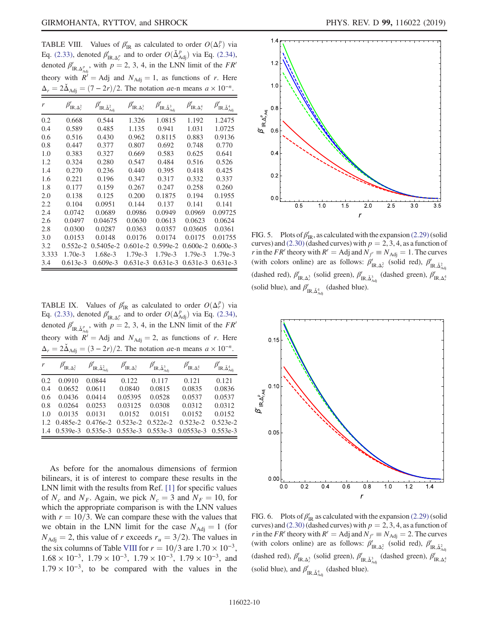<span id="page-10-0"></span>TABLE VIII. Values of  $\beta'_{IR}$  as calculated to order  $O(\Delta_r^p)$  via Eq. [\(2.33\),](#page-5-0) denoted  $\beta'_{IR,\Delta_r^p}$  and to order  $O(\check{\Delta}_{\text{Adj}}^p)$  via Eq. [\(2.34\),](#page-5-1) denoted  $\beta'_{IR, \Delta^p_{\text{Adj}}}$ , with  $p = 2, 3, 4$ , in the LNN limit of the FR' theory with  $R' = \text{Adj}$  and  $N_{\text{Adj}} = 1$ , as functions of r. Here  $\Delta_r = 2\tilde{\Delta}_{\text{Adj}} = (7 - 2r)/2$ . The notation *a*e-n means  $a \times 10^{-n}$ .

| r     | $\beta'_{\text{IR},\Delta_r^2}$ | $IR, \check{\Delta}^2_{\text{Adj}}$ | $\beta'_{\text{IR},\Delta_r^3}$ | $\beta'_{\text{IR},\check{\Delta}^3_{\text{Adj}}}$ | $\beta'_{\text{IR},\Delta_r^4}$ | $\beta'_{\text{IR},\check{\Delta}^4_{\text{Adj}}}$ |
|-------|---------------------------------|-------------------------------------|---------------------------------|----------------------------------------------------|---------------------------------|----------------------------------------------------|
| 0.2   | 0.668                           | 0.544                               | 1.326                           | 1.0815                                             | 1.192                           | 1.2475                                             |
| 0.4   | 0.589                           | 0.485                               | 1.135                           | 0.941                                              | 1.031                           | 1.0725                                             |
| 0.6   | 0.516                           | 0.430                               | 0.962                           | 0.8115                                             | 0.883                           | 0.9136                                             |
| 0.8   | 0.447                           | 0.377                               | 0.807                           | 0.692                                              | 0.748                           | 0.770                                              |
| 1.0   | 0.383                           | 0.327                               | 0.669                           | 0.583                                              | 0.625                           | 0.641                                              |
| 1.2   | 0.324                           | 0.280                               | 0.547                           | 0.484                                              | 0.516                           | 0.526                                              |
| 1.4   | 0.270                           | 0.236                               | 0.440                           | 0.395                                              | 0.418                           | 0.425                                              |
| 1.6   | 0.221                           | 0.196                               | 0.347                           | 0.317                                              | 0.332                           | 0.337                                              |
| 1.8   | 0.177                           | 0.159                               | 0.267                           | 0.247                                              | 0.258                           | 0.260                                              |
| 2.0   | 0.138                           | 0.125                               | 0.200                           | 0.1875                                             | 0.194                           | 0.1955                                             |
| 2.2   | 0.104                           | 0.0951                              | 0.144                           | 0.137                                              | 0.141                           | 0.141                                              |
| 2.4   | 0.0742                          | 0.0689                              | 0.0986                          | 0.0949                                             | 0.0969                          | 0.09725                                            |
| 2.6   | 0.0497                          | 0.04675                             | 0.0630                          | 0.0613                                             | 0.0623                          | 0.0624                                             |
| 2.8   | 0.0300                          | 0.0287                              | 0.0363                          | 0.0357                                             | 0.03605                         | 0.0361                                             |
| 3.0   | 0.0153                          | 0.0148                              | 0.0176                          | 0.0174                                             | 0.0175                          | 0.01755                                            |
| 3.2   | $0.552e-2$                      | $0.5405e-2$                         | $0.601e-2$                      | $0.599e-2$                                         | $0.600e-2$                      | $0.600e-3$                                         |
| 3.333 | 1.70e-3                         | 1.68e-3                             | 1.79e-3                         | 1.79e-3                                            | 1.79e-3                         | $1.79e-3$                                          |
| 3.4   | $0.613e-3$                      | $0.609e-3$                          | $0.631e-3$                      | $0.631e-3$                                         | $0.631e-3$                      | $0.631e-3$                                         |

<span id="page-10-1"></span>TABLE IX. Values of  $\beta'_{IR}$  as calculated to order  $O(\Delta_r^p)$  via Eq. [\(2.33\),](#page-5-0) denoted  $\beta'_{IR,\Delta_r^p}$  and to order  $O(\Delta_{\text{Adj}}^p)$  via Eq. [\(2.34\),](#page-5-1) denoted  $\beta'_{IR,\Delta_{\text{Adj}}}$ , with  $p = 2, 3, 4$ , in the LNN limit of the FR' theory with  $R' = \text{Adj}$  and  $N_{\text{Adj}} = 2$ , as functions of r. Here  $\Delta_r = 2\Delta_{\text{Adj}} = (3 - 2r)/2$ . The notation ae-n means  $a \times 10^{-n}$ .

| $\mathcal{V}$ | $\beta'_{\text{IR},\Delta_r^2}$ | $\beta'_{\text{IR},\check{\Delta}^2_{\text{Adj}}}$ | $\beta'_{\text{IR},\Delta_r^3}$         | $\beta'_{\text{IR},\check{\Delta}^3_{\text{Adj}}}$ | $\beta'_{\text{IR},\Delta_r^4}$ | $\beta'_{\text{IR},\check{\Delta}^4_{\text{Adj}}}$ |
|---------------|---------------------------------|----------------------------------------------------|-----------------------------------------|----------------------------------------------------|---------------------------------|----------------------------------------------------|
| 0.2           | 0.0910                          | 0.0844                                             | 0.122                                   | 0.117                                              | 0.121                           | 0.121                                              |
| 0.4           | 0.0652                          | 0.0611                                             | 0.0840                                  | 0.0815                                             | 0.0835                          | 0.0836                                             |
| 0.6           | 0.0436                          | 0.0414                                             | 0.05395                                 | 0.0528                                             | 0.0537                          | 0.0537                                             |
| 0.8           | 0.0264                          | 0.0253                                             | 0.03125                                 | 0.0308                                             | 0.0312                          | 0.0312                                             |
| 1.0           | 0.0135                          | 0.0131                                             | 0.0152                                  | 0.0151                                             | 0.0152                          | 0.0152                                             |
| 1.2.          |                                 | $0.485e-2$ $0.476e-2$                              | $0.523e-2$                              | $0.522e-2$                                         | $0.523e-2$                      | $0.523e-2$                                         |
|               |                                 |                                                    | 1.4 0.539e-3 0.535e-3 0.553e-3 0.553e-3 |                                                    | $0.0553e-3$                     | $0.553e-3$                                         |

As before for the anomalous dimensions of fermion bilinears, it is of interest to compare these results in the LNN limit with the results from Ref. [\[1\]](#page-13-0) for specific values of  $N_c$  and  $N_F$ . Again, we pick  $N_c = 3$  and  $N_F = 10$ , for which the appropriate comparison is with the LNN values with  $r = 10/3$ . We can compare these with the values that we obtain in the LNN limit for the case  $N_{\text{Adj}} = 1$  (for  $N_{\text{Adj}} = 2$ , this value of r exceeds  $r_u = 3/2$ ). The values in the six columns of Table [VIII](#page-10-0) for  $r = 10/3$  are  $1.70 \times 10^{-3}$ ,  $1.68 \times 10^{-3}$ ,  $1.79 \times 10^{-3}$ ,  $1.79 \times 10^{-3}$ ,  $1.79 \times 10^{-3}$ , and  $1.79 \times 10^{-3}$ , to be compared with the values in the

<span id="page-10-2"></span>

FIG. 5. Plots of  $\beta_{\text{IR}}'$ , as calculated with the expansion [\(2.29\)](#page-4-2) (solid curves) and [\(2.30\)](#page-4-3) (dashed curves) with  $p = 2, 3, 4$ , as a function of r in the FR' theory with  $R' =$  Adj and  $N_{f'} \equiv N_{\text{Adj}} = 1$ . The curves (with colors online) are as follows:  $\beta'_{IR,\Delta_r^2}$  (solid red),  $\beta'_{IR,\Delta_{\text{Adj}}^2}$ (dashed red),  $\beta'_{IR,A^3_r}$  (solid green),  $\beta'_{IR,\check{\Delta}^3_{A\check{d}}_j}$  (dashed green),  $\beta'_{IR,A^3_r}$ (solid blue), and  $\beta'_{IR,\check{\Delta}^4_{Adj}}$  (dashed blue).

<span id="page-10-3"></span>

FIG. 6. Plots of  $\beta_{IR}$  as calculated with the expansion [\(2.29\)](#page-4-2) (solid curves) and [\(2.30\)](#page-4-3) (dashed curves) with  $p = 2, 3, 4$ , as a function of r in the FR' theory with  $R' =$  Adj and  $N_{f'} \equiv N_{\text{Adj}} = 2$ . The curves (with colors online) are as follows:  $\beta'_{IR,A_r^2}$  (solid red),  $\beta'_{IR,\Delta_{\text{Adj}}^2}$ (dashed red),  $\beta'_{IR,A_r^3}$  (solid green),  $\beta'_{IR,\tilde{\Delta}_{Adj}^3}$  (dashed green),  $\beta'_{IR,A_r^3}$ (solid blue), and  $\beta'_{IR,\check{\Delta}^4_{Adj}}$  (dashed blue).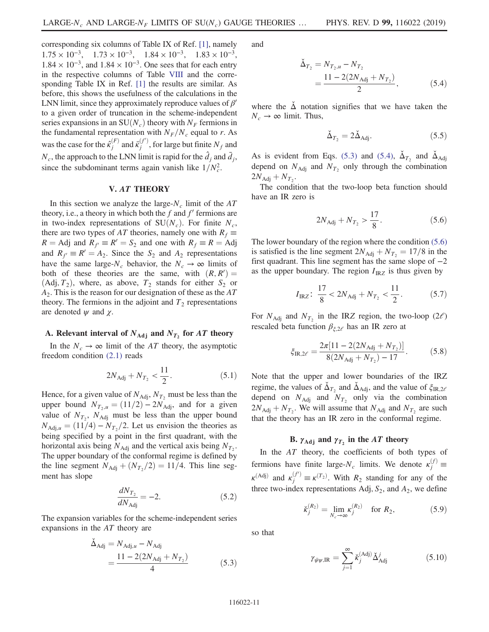corresponding six columns of Table IX of Ref. [\[1\]](#page-13-0), namely  $1.75 \times 10^{-3}$ ,  $1.73 \times 10^{-3}$ ,  $1.84 \times 10^{-3}$ ,  $1.83 \times 10^{-3}$ ,  $1.84 \times 10^{-3}$ , and  $1.84 \times 10^{-3}$ . One sees that for each entry in the respective columns of Table [VIII](#page-10-0) and the corresponding Table IX in Ref. [\[1\]](#page-13-0) the results are similar. As before, this shows the usefulness of the calculations in the LNN limit, since they approximately reproduce values of  $\beta'$ to a given order of truncation in the scheme-independent series expansions in an  $SU(N_c)$  theory with  $N_F$  fermions in the fundamental representation with  $N_F/N_c$  equal to r. As was the case for the  $\hat{\kappa}_j^{(F)}$  and  $\bar{\kappa}_j^{(f')}$ , for large but finite  $N_f$  and  $N_c$ , the approach to the LNN limit is rapid for the  $\hat{d}_j$  and  $\bar{d}_j$ , since the subdominant terms again vanish like  $1/N_c^2$ .

### V. AT THEORY

<span id="page-11-0"></span>In this section we analyze the large- $N_c$  limit of the AT theory, i.e., a theory in which both the  $f$  and  $f'$  fermions are in two-index representations of  $SU(N_c)$ . For finite  $N_c$ , there are two types of AT theories, namely one with  $R_f \equiv$  $R = \text{Adj}$  and  $R_f \equiv R' = S_2$  and one with  $R_f \equiv R = \text{Adj}$ and  $R_f \equiv R' = A_2$ . Since the S<sub>2</sub> and A<sub>2</sub> representations have the same large- $N_c$  behavior, the  $N_c \rightarrow \infty$  limits of both of these theories are the same, with  $(R, R') =$  $(Adj, T_2)$ , where, as above,  $T_2$  stands for either  $S_2$  or  $A_2$ . This is the reason for our designation of these as the  $AT$ theory. The fermions in the adjoint and  $T_2$  representations are denoted  $\psi$  and  $\chi$ .

# A. Relevant interval of  $N_{\text{Adj}}$  and  $N_{T_2}$  for AT theory

In the  $N_c \rightarrow \infty$  limit of the AT theory, the asymptotic freedom condition [\(2.1\)](#page-3-0) reads

$$
2N_{\text{Adj}} + N_{T_2} < \frac{11}{2}.\tag{5.1}
$$

Hence, for a given value of  $N_{\text{Adj}}$ ,  $N_{T_2}$  must be less than the upper bound  $N_{T_2,u} = (11/2) - 2N_{\text{Adj}}$ , and for a given value of  $N_{T_2}$ ,  $N_{\text{Adj}}$  must be less than the upper bound  $N_{\text{Adi},u} = (11/4) - N_{T_2}/2$ . Let us envision the theories as being specified by a point in the first quadrant, with the horizontal axis being  $N_{\text{Adj}}$  and the vertical axis being  $N_{T_2}$ . The upper boundary of the conformal regime is defined by the line segment  $N_{\text{Adj}} + (N_{T_2}/2) = 11/4$ . This line segment has slope

$$
\frac{dN_{T_2}}{dN_{\text{Adj}}} = -2. \tag{5.2}
$$

<span id="page-11-1"></span>The expansion variables for the scheme-independent series expansions in the AT theory are

$$
\tilde{\Delta}_{\text{Adj}} = N_{\text{Adj},u} - N_{\text{Adj}} \n= \frac{11 - 2(2N_{\text{Adj}} + N_{T_2})}{4}
$$
\n(5.3)

<span id="page-11-2"></span>and

$$
\tilde{\Delta}_{T_2} = N_{T_2, u} - N_{T_2}
$$
  
= 
$$
\frac{11 - 2(2N_{\text{Adj}} + N_{T_2})}{2},
$$
 (5.4)

<span id="page-11-4"></span>where the  $\dot{\Delta}$  notation signifies that we have taken the  $N_c \rightarrow \infty$  limit. Thus,

$$
\check{\Delta}_{T_2} = 2\check{\Delta}_{\text{Adj}}.\tag{5.5}
$$

As is evident from Eqs. [\(5.3\)](#page-11-1) and [\(5.4\)](#page-11-2),  $\Delta_{T_2}$  and  $\Delta_{\text{Adj}}$ depend on  $N_{\text{Adj}}$  and  $N_{T_2}$  only through the combination  $2N_{\text{Adj}} + N_{T_2}$ .

<span id="page-11-3"></span>The condition that the two-loop beta function should have an IR zero is

$$
2N_{\text{Adj}} + N_{T_2} > \frac{17}{8}.\tag{5.6}
$$

The lower boundary of the region where the condition [\(5.6\)](#page-11-3) is satisfied is the line segment  $2N_{\text{Adj}} + N_{T_2} = 17/8$  in the first quadrant. This line segment has the same slope of  $-2$ as the upper boundary. The region  $I_{IRZ}$  is thus given by

$$
I_{\rm IRZ}: \frac{17}{8} < 2N_{\rm Adj} + N_{T_2} < \frac{11}{2}.\tag{5.7}
$$

For  $N_{\text{Adj}}$  and  $N_{\text{T}_2}$  in the IRZ region, the two-loop (2 $\ell$ ) rescaled beta function  $\beta_{\xi,2\ell}$  has an IR zero at

$$
\xi_{\text{IR},2\ell} = \frac{2\pi [11 - 2(2N_{\text{Adj}} + N_{T_2})]}{8(2N_{\text{Adj}} + N_{T_2}) - 17}.
$$
 (5.8)

Note that the upper and lower boundaries of the IRZ regime, the values of  $\Delta_{T_2}$  and  $\Delta_{\text{Adj}}$ , and the value of  $\xi_{\text{IR},2\ell}$ depend on  $N_{\text{Adj}}$  and  $N_{T_2}$  only via the combination  $2N_{\text{Adj}} + N_{T_2}$ . We will assume that  $N_{\text{Adj}}$  and  $N_{T_2}$  are such that the theory has an IR zero in the conformal regime.

# B.  $\gamma_{\text{Adj}}$  and  $\gamma_T$ , in the AT theory

In the  $AT$  theory, the coefficients of both types of fermions have finite large- $N_c$  limits. We denote  $\kappa_j^{(f)} \equiv$  $\kappa^{(Adj)}$  and  $\kappa_j^{(f')} \equiv \kappa^{(T_2)}$ . With  $R_2$  standing for any of the three two-index representations Adj,  $S_2$ , and  $A_2$ , we define

$$
\check{\kappa}_j^{(R_2)} = \lim_{N_c \to \infty} \kappa_j^{(R_2)} \quad \text{for } R_2,
$$
\n(5.9)

so that

$$
\gamma_{\bar{\psi}\psi,\mathrm{IR}} = \sum_{j=1}^{\infty} \check{\kappa}_j^{(\mathrm{Adj})} \check{\Delta}_{\mathrm{Adj}}^j \tag{5.10}
$$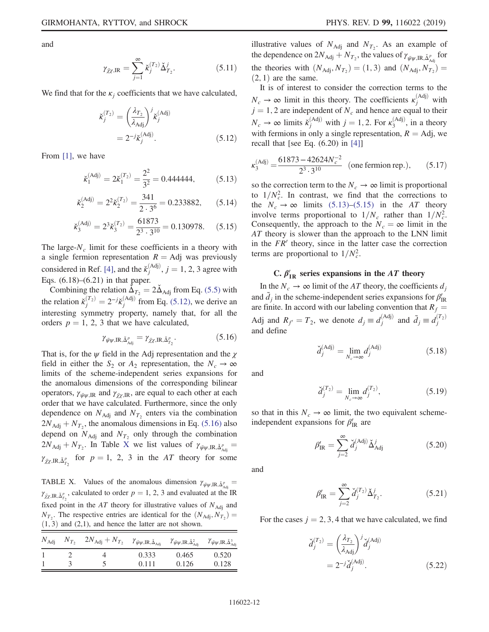and

$$
\gamma_{\bar{\chi}\chi,\mathrm{IR}} = \sum_{j=1}^{\infty} \check{\kappa}_j^{(T_2)} \check{\Delta}_{T_2}^j.
$$
 (5.11)

<span id="page-12-0"></span>We find that for the  $\kappa_i$  coefficients that we have calculated,

$$
\check{\kappa}_j^{(T_2)} = \left(\frac{\lambda_{T_2}}{\lambda_{\text{Adj}}}\right)^j \check{\kappa}_j^{(\text{Adj})}
$$

$$
= 2^{-j} \check{\kappa}_j^{(\text{Adj})}.
$$
(5.12)

<span id="page-12-3"></span>From [\[1\]](#page-13-0), we have

$$
\check{\kappa}_1^{(\text{Adj})} = 2\check{\kappa}_1^{(T_2)} = \frac{2^2}{3^2} = 0.444444, \tag{5.13}
$$

$$
\check{\kappa}_2^{\text{(Adj)}} = 2^2 \check{\kappa}_2^{\text{(T_2)}} = \frac{341}{2 \cdot 3^6} = 0.233882,\qquad(5.14)
$$

$$
\check{\kappa}_3^{\text{(Adj)}} = 2^3 \check{\kappa}_3^{\text{(T_2)}} = \frac{61873}{2^3 \cdot 3^{10}} = 0.130978. \quad (5.15)
$$

<span id="page-12-4"></span>The large- $N_c$  limit for these coefficients in a theory with a single fermion representation  $R = Adj$  was previously considered in Ref. [\[4\]](#page-13-3), and the  $\check{\kappa}_j^{\text{(Adj)}}$ ,  $j = 1, 2, 3$  agree with Eqs. (6.18)–(6.21) in that paper.

<span id="page-12-1"></span>Combining the relation  $\tilde{\Delta}_{T_2} = 2 \tilde{\Delta}_{\text{Adj}}$  from Eq. [\(5.5\)](#page-11-4) with the relation  $\check{\kappa}_j^{(T_2)} = 2^{-j} \check{\kappa}_j^{(\text{Adj})}$  from Eq. [\(5.12\)](#page-12-0), we derive an interesting symmetry property, namely that, for all the orders  $p = 1, 2, 3$  that we have calculated,

$$
\gamma_{\bar{\psi}\psi,\mathrm{IR},\check{\Delta}^p_{\mathrm{Adj}}} = \gamma_{\bar{\chi}\chi,\mathrm{IR},\check{\Delta}^p_{T_2}}.\tag{5.16}
$$

That is, for the  $\psi$  field in the Adj representation and the  $\chi$ field in either the  $S_2$  or  $A_2$  representation, the  $N_c \rightarrow \infty$ limits of the scheme-independent series expansions for the anomalous dimensions of the corresponding bilinear operators,  $\gamma_{\bar{\psi}\psi,IR}$  and  $\gamma_{\bar{\chi}\chi,IR}$ , are equal to each other at each order that we have calculated. Furthermore, since the only dependence on  $N_{\text{Adj}}$  and  $N_{T_2}$  enters via the combination  $2N_{\text{Adj}} + N_{T_2}$ , the anomalous dimensions in Eq. [\(5.16\)](#page-12-1) also depend on  $N_{\text{Adj}}$  and  $N_{\text{T}_2}$  only through the combination  $2N_{\text{Adj}} + N_{T_2}$ . In Table [X](#page-12-2) we list values of  $\gamma_{\bar{\psi}\psi,\text{IR},\Delta_{\text{Adj}}^p} =$  $\gamma_{\bar{\chi}\chi,\mathrm{IR},\Delta_{T_2}^p}$  for  $p=1, 2, 3$  in the AT theory for some

<span id="page-12-2"></span>TABLE X. Values of the anomalous dimension  $\gamma_{\bar{\psi}\psi,IR,\Delta_{\text{Adj}}^p} =$  $\gamma_{\bar{\chi}\chi,\mathrm{IR},\tilde{\Delta}_{T_2}^p}$ , calculated to order  $p = 1, 2, 3$  and evaluated at the IR fixed point in the AT theory for illustrative values of  $N_{\text{Adj}}$  and  $N_{T_2}$ . The respective entries are identical for the  $(N_{\text{Adj}}, N_{T_2}) =$  $(1, 3)$  and  $(2, 1)$ , and hence the latter are not shown.

|  | $N_{\rm Adj} \quad N_{T_2} \quad 2N_{\rm Adj} + N_{T_2} \quad \gamma_{\bar\psi\psi, \rm IR, \check\Delta_{\rm Adj}} \quad \gamma_{\bar\psi\psi, \rm IR, \check\Delta_{\rm Adj}^2} \quad \gamma_{\bar\psi\psi, \rm IR, \check\Delta_{\rm Adj}^3}$ |       |       |       |
|--|--------------------------------------------------------------------------------------------------------------------------------------------------------------------------------------------------------------------------------------------------|-------|-------|-------|
|  |                                                                                                                                                                                                                                                  | 0.333 | 0.465 | 0.520 |
|  |                                                                                                                                                                                                                                                  | 0.111 | 0.126 | 0.128 |

illustrative values of  $N_{\text{Adj}}$  and  $N_{T_2}$ . As an example of the dependence on  $2N_{\rm Adj}+N_{T_2}$ , the values of  $\gamma_{\bar\psi\psi ,\mathrm{IR},\check\Delta^p_{\rm Adj}}$  for the theories with  $(N_{\text{Adj}}, N_{T_2}) = (1, 3)$  and  $(N_{\text{Adj}}, N_{T_2}) =$  $(2, 1)$  are the same.

It is of interest to consider the correction terms to the  $N_c \rightarrow \infty$  limit in this theory. The coefficients  $\kappa_j^{\text{(Adj)}}$  with  $j = 1, 2$  are independent of  $N_c$  and hence are equal to their  $N_c \rightarrow \infty$  limits  $\check{\kappa}_j^{\text{(Adj)}}$  with  $j = 1, 2$ . For  $\kappa_3^{\text{(Adj)}}$ , in a theory with fermions in only a single representation,  $R = Adj$ , we recall that [see Eq. (6.20) in [\[4\]](#page-13-3)]

$$
\kappa_3^{\text{(Adj)}} = \frac{61873 - 42624N_c^{-2}}{2^3 \cdot 3^{10}} \text{ (one fermion rep.),} \quad (5.17)
$$

so the correction term to the  $N_c \rightarrow \infty$  limit is proportional to  $1/N_c^2$ . In contrast, we find that the corrections to the  $N_c \rightarrow \infty$  limits [\(5.13\)](#page-12-3)–[\(5.15\)](#page-12-4) in the AT theory involve terms proportional to  $1/N_c$  rather than  $1/N_c^2$ . Consequently, the approach to the  $N_c = \infty$  limit in the AT theory is slower than the approach to the LNN limit in the  $FR'$  theory, since in the latter case the correction terms are proportional to  $1/N_c^2$ .

# C.  $\beta'_{IR}$  series expansions in the AT theory

In the  $N_c \rightarrow \infty$  limit of the AT theory, the coefficients  $d_i$ and  $\tilde{d}_j$  in the scheme-independent series expansions for  $\beta_{\text{IR}}'$ are finite. In accord with our labeling convention that  $R_f$  = Adj and  $R_{f'} = T_2$ , we denote  $d_j \equiv d_j^{\text{(Adj)}}$  and  $\tilde{d}_j \equiv d_j^{\text{(T_2)}}$ and define

$$
\check{d}_j^{(\text{Adj})} = \lim_{N_c \to \infty} d_j^{(\text{Adj})} \tag{5.18}
$$

and

$$
\check{d}_j^{(T_2)} = \lim_{N_c \to \infty} d_j^{(T_2)},\tag{5.19}
$$

so that in this  $N_c \rightarrow \infty$  limit, the two equivalent schemeindependent expansions for  $\beta_{\text{IR}}'$  are

$$
\beta'_{IR} = \sum_{j=2}^{\infty} \check{d}_j^{(Adj)} \check{\Delta}_{Adj}^j \tag{5.20}
$$

and

$$
\beta'_{IR} = \sum_{j=2}^{\infty} \check{d}_j^{(T_2)} \check{\Delta}_{T_2}^j.
$$
 (5.21)

<span id="page-12-5"></span>For the cases  $j = 2, 3, 4$  that we have calculated, we find

$$
\check{d}_j^{(T_2)} = \left(\frac{\lambda_{T_2}}{\lambda_{\text{Adj}}}\right)^j \check{d}_j^{(\text{Adj})}
$$

$$
= 2^{-j} \check{d}_j^{(\text{Adj})}.
$$
(5.22)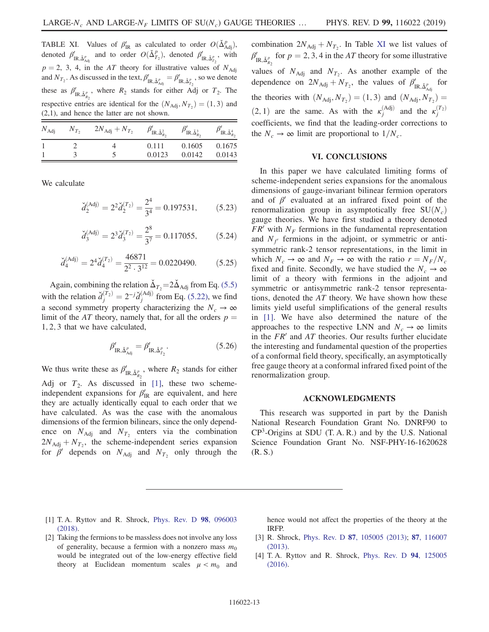<span id="page-13-5"></span>TABLE XI. Values of  $\beta'_{IR}$  as calculated to order  $O(\check{\Delta}^p_{Adj})$ , denoted  $\beta'_{\text{IR},\check{\Delta}^p_{\text{Adj}}}$  and to order  $O(\check{\Delta}^p_{T_2})$ , denoted  $\beta'_{\text{IR},\check{\Delta}^p_{T_2}}$ , with  $p = 2$ , 3, 4, in the AT theory for illustrative values of  $N_{\text{Adj}}$ and  $N_{T_2}$ . As discussed in the text,  $\beta'_{IR,\check{\Delta}^p_{\text{Adj}}}= \beta'_{IR,\check{\Delta}^p_{T_2}}$ , so we denote these as  $\beta'_{IR, \check{\Delta}_{R_2}^p}$ , where  $R_2$  stands for either Adj or  $T_2$ . The respective entries are identical for the  $(N_{\text{Adj}}, N_{T_2}) = (1, 3)$  and (2,1), and hence the latter are not shown.

| $N_{\rm Adj}$ | $N_{T_2}$ | $2N_{\text{Adj}} + N_{T_2}$ | $\beta'_{\text{IR},\check{\Delta}_{R_2}^2}$ | $\beta'_{\text{IR},\check{\Delta}_{R_2}^3}$ | $P_{\text{IR},\check{\Delta}_{R_2}^4}$ |
|---------------|-----------|-----------------------------|---------------------------------------------|---------------------------------------------|----------------------------------------|
|               |           |                             | 0.111                                       | 0.1605                                      | 0.1675                                 |
|               |           |                             | 0.0123                                      | 0.0142                                      | 0.0143                                 |

We calculate

$$
\check{d}_2^{(\text{Adj})} = 2^2 \check{d}_2^{(T_2)} = \frac{2^4}{3^4} = 0.197531,\tag{5.23}
$$

$$
\check{d}_3^{(\text{Adj})} = 2^3 \check{d}_3^{(T_2)} = \frac{2^8}{3^7} = 0.117055, \quad (5.24)
$$

$$
\check{d}_4^{(\text{Adj})} = 2^4 \check{d}_4^{(T_2)} = \frac{46871}{2^2 \cdot 3^{12}} = 0.0220490. \tag{5.25}
$$

Again, combining the relation  $\Delta_{T_2} = 2\Delta_{\text{Adj}}$  from Eq. [\(5.5\)](#page-11-4) with the relation  $\check{d}_j^{(T_2)} = 2^{-j} \check{d}_j^{(\text{Adj})}$  from Eq. [\(5.22\)](#page-12-5), we find a second symmetry property characterizing the  $N_c \rightarrow \infty$ limit of the AT theory, namely that, for all the orders  $p =$ 1; 2; 3 that we have calculated,

$$
\beta'_{\text{IR},\check{\Delta}^p_{\text{Adj}}} = \beta'_{\text{IR},\check{\Delta}^p_{T_2}}.\tag{5.26}
$$

We thus write these as  $\beta'_{IR,\check{\Delta}^p_{R_2}}$ , where  $R_2$  stands for either Adj or  $T_2$ . As discussed in [\[1\]](#page-13-0), these two schemeindependent expansions for  $\beta'_{IR}$  are equivalent, and here they are actually identically equal to each order that we have calculated. As was the case with the anomalous dimensions of the fermion bilinears, since the only dependence on  $N_{\text{Adj}}$  and  $N_{T_2}$  enters via the combination  $2N_{\text{Adj}} + N_{T_2}$ , the scheme-independent series expansion for  $\beta'$  depends on  $N_{\text{Adj}}$  and  $N_{T_2}$  only through the combination  $2N_{\text{Adj}} + N_{T_2}$ . In Table [XI](#page-13-5) we list values of  $\beta'_{IR,\check{\Delta}^p_{R_2}}$  for  $p=2,3,4$  in the AT theory for some illustrative values of  $N_{\text{Adj}}$  and  $N_{T_2}$ . As another example of the dependence on  $2N_{\text{Adj}} + N_{T_2}$ , the values of  $\beta'_{\text{IR},\check{\Delta}^p_{\text{Adj}}}$  for the theories with  $(N_{\text{Adj}}, N_{T_2}) = (1, 3)$  and  $(N_{\text{Adj}}, N_{T_2}) =$ (2, 1) are the same. As with the  $\kappa_j^{(Adj)}$  and the  $\kappa_j^{(T_2)}$ coefficients, we find that the leading-order corrections to the  $N_c \rightarrow \infty$  limit are proportional to  $1/N_c$ .

## VI. CONCLUSIONS

<span id="page-13-4"></span>In this paper we have calculated limiting forms of scheme-independent series expansions for the anomalous dimensions of gauge-invariant bilinear fermion operators and of  $\beta'$  evaluated at an infrared fixed point of the renormalization group in asymptotically free  $SU(N_c)$ gauge theories. We have first studied a theory denoted  $FR'$  with  $N_F$  fermions in the fundamental representation and  $N_f$  fermions in the adjoint, or symmetric or antisymmetric rank-2 tensor representations, in the limit in which  $N_c \rightarrow \infty$  and  $N_F \rightarrow \infty$  with the ratio  $r = N_F/N_c$ fixed and finite. Secondly, we have studied the  $N_c \rightarrow \infty$ limit of a theory with fermions in the adjoint and symmetric or antisymmetric rank-2 tensor representations, denoted the AT theory. We have shown how these limits yield useful simplifications of the general results in [\[1\].](#page-13-0) We have also determined the nature of the approaches to the respective LNN and  $N_c \rightarrow \infty$  limits in the  $FR'$  and  $AT$  theories. Our results further elucidate the interesting and fundamental question of the properties of a conformal field theory, specifically, an asymptotically free gauge theory at a conformal infrared fixed point of the renormalization group.

#### ACKNOWLEDGMENTS

This research was supported in part by the Danish National Research Foundation Grant No. DNRF90 to  $CP<sup>3</sup>$ -Origins at SDU (T. A. R.) and by the U.S. National Science Foundation Grant No. NSF-PHY-16-1620628 (R. S.)

- <span id="page-13-0"></span>[1] T. A. Ryttov and R. Shrock, [Phys. Rev. D](https://doi.org/10.1103/PhysRevD.98.096003) 98, 096003 [\(2018\).](https://doi.org/10.1103/PhysRevD.98.096003)
- <span id="page-13-1"></span>[2] Taking the fermions to be massless does not involve any loss of generality, because a fermion with a nonzero mass  $m_0$ would be integrated out of the low-energy effective field theory at Euclidean momentum scales  $\mu < m_0$  and

hence would not affect the properties of the theory at the IRFP.

- <span id="page-13-2"></span>[3] R. Shrock, Phys. Rev. D 87[, 105005 \(2013\)](https://doi.org/10.1103/PhysRevD.87.105005); 87[, 116007](https://doi.org/10.1103/PhysRevD.87.116007) [\(2013\).](https://doi.org/10.1103/PhysRevD.87.116007)
- <span id="page-13-3"></span>[4] T. A. Ryttov and R. Shrock, [Phys. Rev. D](https://doi.org/10.1103/PhysRevD.94.125005) 94, 125005 [\(2016\).](https://doi.org/10.1103/PhysRevD.94.125005)